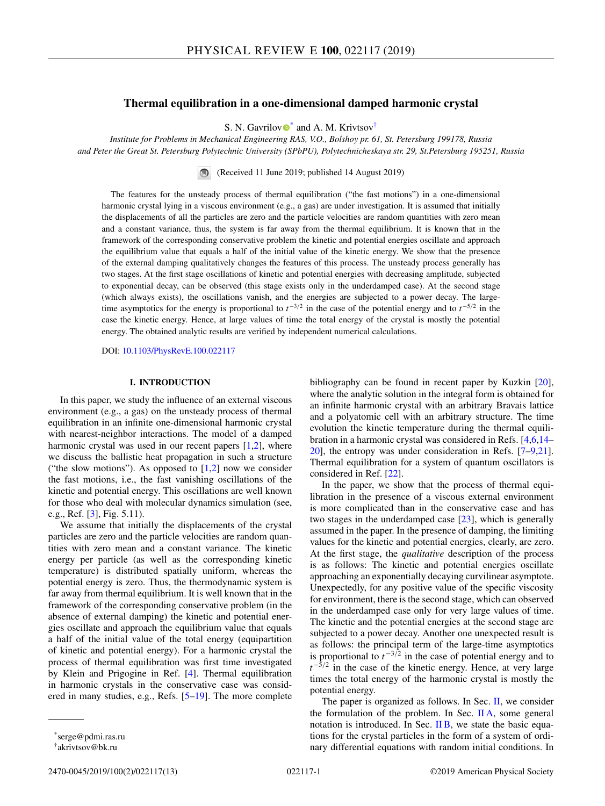### **Thermal equilibration in a one-dimensional damped harmonic crystal**

S. N. Ga[v](https://orcid.org/0000-0002-7889-3350)rilov  $\bullet^*$  and A. M. Krivtsov<sup>†</sup>

*Institute for Problems in Mechanical Engineering RAS, V.O., Bolshoy pr. 61, St. Petersburg 199178, Russia and Peter the Great St. Petersburg Polytechnic University (SPbPU), Polytechnicheskaya str. 29, St.Petersburg 195251, Russia*

> $\bigcirc$ (Received 11 June 2019; published 14 August 2019)

The features for the unsteady process of thermal equilibration ("the fast motions") in a one-dimensional harmonic crystal lying in a viscous environment (e.g., a gas) are under investigation. It is assumed that initially the displacements of all the particles are zero and the particle velocities are random quantities with zero mean and a constant variance, thus, the system is far away from the thermal equilibrium. It is known that in the framework of the corresponding conservative problem the kinetic and potential energies oscillate and approach the equilibrium value that equals a half of the initial value of the kinetic energy. We show that the presence of the external damping qualitatively changes the features of this process. The unsteady process generally has two stages. At the first stage oscillations of kinetic and potential energies with decreasing amplitude, subjected to exponential decay, can be observed (this stage exists only in the underdamped case). At the second stage (which always exists), the oscillations vanish, and the energies are subjected to a power decay. The largetime asymptotics for the energy is proportional to *t*−3/<sup>2</sup> in the case of the potential energy and to *t*−5/<sup>2</sup> in the case the kinetic energy. Hence, at large values of time the total energy of the crystal is mostly the potential energy. The obtained analytic results are verified by independent numerical calculations.

DOI: [10.1103/PhysRevE.100.022117](https://doi.org/10.1103/PhysRevE.100.022117)

## **I. INTRODUCTION**

In this paper, we study the influence of an external viscous environment (e.g., a gas) on the unsteady process of thermal equilibration in an infinite one-dimensional harmonic crystal with nearest-neighbor interactions. The model of a damped harmonic crystal was used in our recent papers  $[1,2]$ , where we discuss the ballistic heat propagation in such a structure ("the slow motions"). As opposed to  $[1,2]$  now we consider the fast motions, i.e., the fast vanishing oscillations of the kinetic and potential energy. This oscillations are well known for those who deal with molecular dynamics simulation (see, e.g., Ref.  $[3]$ , Fig. 5.11).

We assume that initially the displacements of the crystal particles are zero and the particle velocities are random quantities with zero mean and a constant variance. The kinetic energy per particle (as well as the corresponding kinetic temperature) is distributed spatially uniform, whereas the potential energy is zero. Thus, the thermodynamic system is far away from thermal equilibrium. It is well known that in the framework of the corresponding conservative problem (in the absence of external damping) the kinetic and potential energies oscillate and approach the equilibrium value that equals a half of the initial value of the total energy (equipartition of kinetic and potential energy). For a harmonic crystal the process of thermal equilibration was first time investigated by Klein and Prigogine in Ref. [\[4\]](#page-11-0). Thermal equilibration in harmonic crystals in the conservative case was considered in many studies, e.g., Refs. [\[5–19\]](#page-11-0). The more complete

bibliography can be found in recent paper by Kuzkin [\[20\]](#page-11-0), where the analytic solution in the integral form is obtained for an infinite harmonic crystal with an arbitrary Bravais lattice and a polyatomic cell with an arbitrary structure. The time evolution the kinetic temperature during the thermal equilibration in a harmonic crystal was considered in Refs. [\[4,6,14–](#page-11-0) [20\]](#page-11-0), the entropy was under consideration in Refs. [\[7–9,21\]](#page-11-0). Thermal equilibration for a system of quantum oscillators is considered in Ref. [\[22\]](#page-11-0).

In the paper, we show that the process of thermal equilibration in the presence of a viscous external environment is more complicated than in the conservative case and has two stages in the underdamped case [\[23\]](#page-11-0), which is generally assumed in the paper. In the presence of damping, the limiting values for the kinetic and potential energies, clearly, are zero. At the first stage, the *qualitative* description of the process is as follows: The kinetic and potential energies oscillate approaching an exponentially decaying curvilinear asymptote. Unexpectedly, for any positive value of the specific viscosity for environment, there is the second stage, which can observed in the underdamped case only for very large values of time. The kinetic and the potential energies at the second stage are subjected to a power decay. Another one unexpected result is as follows: the principal term of the large-time asymptotics is proportional to  $t^{-3/2}$  in the case of potential energy and to  $t^{-\bar{5}/2}$  in the case of the kinetic energy. Hence, at very large times the total energy of the harmonic crystal is mostly the potential energy.

The paper is organized as follows. In Sec.  $II$ , we consider the formulation of the problem. In Sec. [II A,](#page-1-0) some general notation is introduced. In Sec.  $\overline{I}$  IB, we state the basic equations for the crystal particles in the form of a system of ordinary differential equations with random initial conditions. In

<sup>\*</sup>serge@pdmi.ras.ru

<sup>†</sup>akrivtsov@bk.ru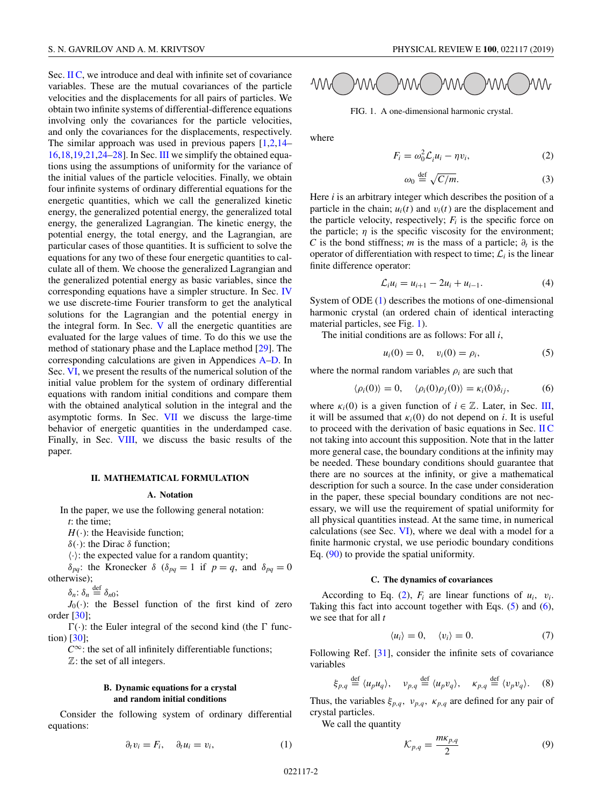<span id="page-1-0"></span>Sec. II C, we introduce and deal with infinite set of covariance variables. These are the mutual covariances of the particle velocities and the displacements for all pairs of particles. We obtain two infinite systems of differential-difference equations involving only the covariances for the particle velocities, and only the covariances for the displacements, respectively. The similar approach was used in previous papers  $[1,2,14-$ [16,18,19,21,24–28\]](#page-11-0). In Sec. [III](#page-2-0) we simplify the obtained equations using the assumptions of uniformity for the variance of the initial values of the particle velocities. Finally, we obtain four infinite systems of ordinary differential equations for the energetic quantities, which we call the generalized kinetic energy, the generalized potential energy, the generalized total energy, the generalized Lagrangian. The kinetic energy, the potential energy, the total energy, and the Lagrangian, are particular cases of those quantities. It is sufficient to solve the equations for any two of these four energetic quantities to calculate all of them. We choose the generalized Lagrangian and the generalized potential energy as basic variables, since the corresponding equations have a simpler structure. In Sec. [IV](#page-3-0) we use discrete-time Fourier transform to get the analytical solutions for the Lagrangian and the potential energy in the integral form. In Sec.  $V$  all the energetic quantities are evaluated for the large values of time. To do this we use the method of stationary phase and the Laplace method [\[29\]](#page-11-0). The corresponding calculations are given in Appendices [A](#page-8-0)[–D.](#page-10-0) In Sec. [VI,](#page-5-0) we present the results of the numerical solution of the initial value problem for the system of ordinary differential equations with random initial conditions and compare them with the obtained analytical solution in the integral and the asymptotic forms. In Sec. [VII](#page-6-0) we discuss the large-time behavior of energetic quantities in the underdamped case. Finally, in Sec. [VIII,](#page-7-0) we discuss the basic results of the paper.

#### **II. MATHEMATICAL FORMULATION**

### **A. Notation**

In the paper, we use the following general notation: *t*: the time;

 $H(\cdot)$ : the Heaviside function;

δ(·): the Dirac δ function;

 $\langle \cdot \rangle$ : the expected value for a random quantity;

δ*pq*: the Kronecker δ (δ*pq* = 1 if *p* = *q*, and δ*pq* = 0 otherwise);

 $\delta_n: \delta_n \stackrel{\text{def}}{=} \delta_{n0};$ 

 $J_0(\cdot)$ : the Bessel function of the first kind of zero order [\[30\]](#page-11-0);

 $\Gamma(\cdot)$ : the Euler integral of the second kind (the  $\Gamma$  function) [\[30\]](#page-11-0);

 $C^{\infty}$ : the set of all infinitely differentiable functions;

 $\mathbb{Z}$ : the set of all integers.

### **B. Dynamic equations for a crystal and random initial conditions**

Consider the following system of ordinary differential equations:

$$
\partial_t v_i = F_i, \quad \partial_t u_i = v_i,\tag{1}
$$



FIG. 1. A one-dimensional harmonic crystal.

where

$$
F_i = \omega_0^2 \mathcal{L}_i u_i - \eta v_i,\tag{2}
$$

$$
\omega_0 \stackrel{\text{def}}{=} \sqrt{C/m}.\tag{3}
$$

Here *i* is an arbitrary integer which describes the position of a particle in the chain;  $u_i(t)$  and  $v_i(t)$  are the displacement and the particle velocity, respectively;  $F_i$  is the specific force on the particle;  $\eta$  is the specific viscosity for the environment; *C* is the bond stiffness; *m* is the mass of a particle;  $\partial_t$  is the operator of differentiation with respect to time;  $\mathcal{L}_i$  is the linear finite difference operator:

$$
\mathcal{L}_i u_i = u_{i+1} - 2u_i + u_{i-1}.
$$
 (4)

System of ODE (1) describes the motions of one-dimensional harmonic crystal (an ordered chain of identical interacting material particles, see Fig. 1).

The initial conditions are as follows: For all *i*,

$$
u_i(0) = 0, \quad v_i(0) = \rho_i,
$$
 (5)

where the normal random variables  $\rho_i$  are such that

$$
\langle \rho_i(0) \rangle = 0, \quad \langle \rho_i(0) \rho_j(0) \rangle = \kappa_i(0) \delta_{ij}, \tag{6}
$$

where  $\kappa_i(0)$  is a given function of  $i \in \mathbb{Z}$ . Later, in Sec. [III,](#page-2-0) it will be assumed that  $\kappa_i(0)$  do not depend on *i*. It is useful to proceed with the derivation of basic equations in Sec. II C not taking into account this supposition. Note that in the latter more general case, the boundary conditions at the infinity may be needed. These boundary conditions should guarantee that there are no sources at the infinity, or give a mathematical description for such a source. In the case under consideration in the paper, these special boundary conditions are not necessary, we will use the requirement of spatial uniformity for all physical quantities instead. At the same time, in numerical calculations (see Sec. [VI\)](#page-5-0), where we deal with a model for a finite harmonic crystal, we use periodic boundary conditions Eq. [\(90\)](#page-5-0) to provide the spatial uniformity.

#### **C. The dynamics of covariances**

According to Eq. (2),  $F_i$  are linear functions of  $u_i$ ,  $v_i$ . Taking this fact into account together with Eqs.  $(5)$  and  $(6)$ , we see that for all *t*

$$
\langle u_i \rangle = 0, \quad \langle v_i \rangle = 0. \tag{7}
$$

Following Ref. [\[31\]](#page-11-0), consider the infinite sets of covariance variables

$$
\xi_{p,q} \stackrel{\text{def}}{=} \langle u_p u_q \rangle, \quad v_{p,q} \stackrel{\text{def}}{=} \langle u_p v_q \rangle, \quad \kappa_{p,q} \stackrel{\text{def}}{=} \langle v_p v_q \rangle. \tag{8}
$$

Thus, the variables  $\xi_{p,q}$ ,  $v_{p,q}$ ,  $\kappa_{p,q}$  are defined for any pair of crystal particles.

We call the quantity

$$
\mathcal{K}_{p,q} = \frac{m\kappa_{p,q}}{2} \tag{9}
$$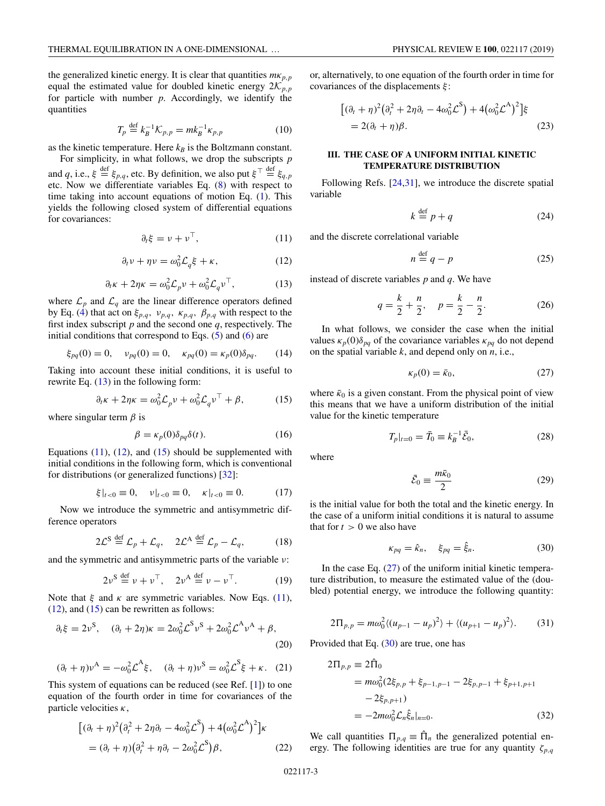<span id="page-2-0"></span>the generalized kinetic energy. It is clear that quantities  $m\kappa_{p,p}$ equal the estimated value for doubled kinetic energy  $2K_{p,p}$ for particle with number *p*. Accordingly, we identify the quantities

$$
T_p \stackrel{\text{def}}{=} k_B^{-1} \mathcal{K}_{p,p} = mk_B^{-1} \kappa_{p,p} \tag{10}
$$

as the kinetic temperature. Here  $k_B$  is the Boltzmann constant.

For simplicity, in what follows, we drop the subscripts *p* and *q*, i.e.,  $\xi \stackrel{\text{def}}{=} \xi_{p,q}$ , etc. By definition, we also put  $\xi^{\top} \stackrel{\text{def}}{=} \xi_{q,p}$ etc. Now we differentiate variables Eq. [\(8\)](#page-1-0) with respect to time taking into account equations of motion Eq.  $(1)$ . This yields the following closed system of differential equations for covariances:

$$
\partial_t \xi = \nu + \nu^\top, \tag{11}
$$

$$
\partial_t v + \eta v = \omega_0^2 \mathcal{L}_q \xi + \kappa, \qquad (12)
$$

$$
\partial_t \kappa + 2\eta \kappa = \omega_0^2 \mathcal{L}_p v + \omega_0^2 \mathcal{L}_q v^\top,\tag{13}
$$

where  $\mathcal{L}_p$  and  $\mathcal{L}_q$  are the linear difference operators defined by Eq. [\(4\)](#page-1-0) that act on  $\xi_{p,q}$ ,  $v_{p,q}$ ,  $\kappa_{p,q}$ ,  $\beta_{p,q}$  with respect to the first index subscript *p* and the second one *q*, respectively. The initial conditions that correspond to Eqs.  $(5)$  and  $(6)$  are

$$
\xi_{pq}(0) = 0
$$
,  $v_{pq}(0) = 0$ ,  $\kappa_{pq}(0) = \kappa_p(0)\delta_{pq}$ . (14)

Taking into account these initial conditions, it is useful to rewrite Eq.  $(13)$  in the following form:

$$
\partial_t \kappa + 2\eta \kappa = \omega_0^2 \mathcal{L}_p v + \omega_0^2 \mathcal{L}_q v^\top + \beta,\tag{15}
$$

where singular term  $\beta$  is

$$
\beta = \kappa_p(0)\delta_{pq}\delta(t). \tag{16}
$$

Equations  $(11)$ ,  $(12)$ , and  $(15)$  should be supplemented with initial conditions in the following form, which is conventional for distributions (or generalized functions) [\[32\]](#page-12-0):

$$
\xi|_{t<0} \equiv 0, \quad v|_{t<0} \equiv 0, \quad \kappa|_{t<0} \equiv 0.
$$
 (17)

Now we introduce the symmetric and antisymmetric difference operators

$$
2\mathcal{L}^{\mathcal{S}} \stackrel{\text{def}}{=} \mathcal{L}_p + \mathcal{L}_q, \quad 2\mathcal{L}^{\mathcal{A}} \stackrel{\text{def}}{=} \mathcal{L}_p - \mathcal{L}_q,\tag{18}
$$

and the symmetric and antisymmetric parts of the variable ν:

$$
2\nu^{\mathsf{S}} \stackrel{\text{def}}{=} \nu + \nu^{\top}, \quad 2\nu^{\mathsf{A}} \stackrel{\text{def}}{=} \nu - \nu^{\top}.
$$
 (19)

Note that  $\xi$  and  $\kappa$  are symmetric variables. Now Eqs. (11),  $(12)$ , and  $(15)$  can be rewritten as follows:

$$
\partial_t \xi = 2\nu^S, \quad (\partial_t + 2\eta)\kappa = 2\omega_0^2 \mathcal{L}^S \nu^S + 2\omega_0^2 \mathcal{L}^A \nu^A + \beta,
$$
\n(20)

$$
(\partial_t + \eta)\nu^A = -\omega_0^2 \mathcal{L}^A \xi, \quad (\partial_t + \eta)\nu^S = \omega_0^2 \mathcal{L}^S \xi + \kappa. \quad (21)
$$

This system of equations can be reduced (see Ref. [\[1\]](#page-11-0)) to one equation of the fourth order in time for covariances of the particle velocities  $\kappa$ ,

$$
[(\partial_t + \eta)^2 (\partial_t^2 + 2\eta \partial_t - 4\omega_0^2 \mathcal{L}^S) + 4(\omega_0^2 \mathcal{L}^A)^2] \kappa
$$
  
=  $(\partial_t + \eta) (\partial_t^2 + \eta \partial_t - 2\omega_0^2 \mathcal{L}^S) \beta,$  (22)

or, alternatively, to one equation of the fourth order in time for covariances of the displacements  $\xi$ :

$$
[(\partial_t + \eta)^2 (\partial_t^2 + 2\eta \partial_t - 4\omega_0^2 \mathcal{L}^S) + 4(\omega_0^2 \mathcal{L}^A)^2] \xi
$$
  
= 2(\partial\_t + \eta)\beta. (23)

### **III. THE CASE OF A UNIFORM INITIAL KINETIC TEMPERATURE DISTRIBUTION**

Following Refs. [\[24,31\]](#page-11-0), we introduce the discrete spatial variable

$$
k \stackrel{\text{def}}{=} p + q \tag{24}
$$

and the discrete correlational variable

$$
n \stackrel{\text{def}}{=} q - p \tag{25}
$$

instead of discrete variables *p* and *q*. We have

$$
q = \frac{k}{2} + \frac{n}{2}, \quad p = \frac{k}{2} - \frac{n}{2}.
$$
 (26)

In what follows, we consider the case when the initial values  $\kappa_p(0)\delta_{pa}$  of the covariance variables  $\kappa_{pq}$  do not depend on the spatial variable *k*, and depend only on *n*, i.e.,

$$
\kappa_p(0) = \bar{\kappa}_0,\tag{27}
$$

where  $\bar{k}_0$  is a given constant. From the physical point of view this means that we have a uniform distribution of the initial value for the kinetic temperature

$$
T_p|_{t=0} = \bar{T}_0 \equiv k_B^{-1} \bar{\mathcal{E}}_0,\tag{28}
$$

where

$$
\bar{\mathcal{E}}_0 \equiv \frac{m\bar{\kappa}_0}{2} \tag{29}
$$

is the initial value for both the total and the kinetic energy. In the case of a uniform initial conditions it is natural to assume that for  $t > 0$  we also have

$$
\kappa_{pq} = \hat{\kappa}_n, \quad \xi_{pq} = \hat{\xi}_n. \tag{30}
$$

In the case Eq.  $(27)$  of the uniform initial kinetic temperature distribution, to measure the estimated value of the (doubled) potential energy, we introduce the following quantity:

$$
2\Pi_{p,p} = m\omega_0^2 \langle (u_{p-1} - u_p)^2 \rangle + \langle (u_{p+1} - u_p)^2 \rangle. \tag{31}
$$

Provided that Eq.  $(30)$  are true, one has

$$
2\Pi_{p,p} \equiv 2\hat{\Pi}_0
$$
  
=  $m\omega_0^2 (2\xi_{p,p} + \xi_{p-1,p-1} - 2\xi_{p,p-1} + \xi_{p+1,p+1}$   
 $- 2\xi_{p,p+1}$ )  
=  $-2m\omega_0^2 \mathcal{L}_n \hat{\xi}_n|_{n=0}.$  (32)

We call quantities  $\Pi_{p,q} \equiv \hat{\Pi}_n$  the generalized potential energy. The following identities are true for any quantity  $\zeta_{p,q}$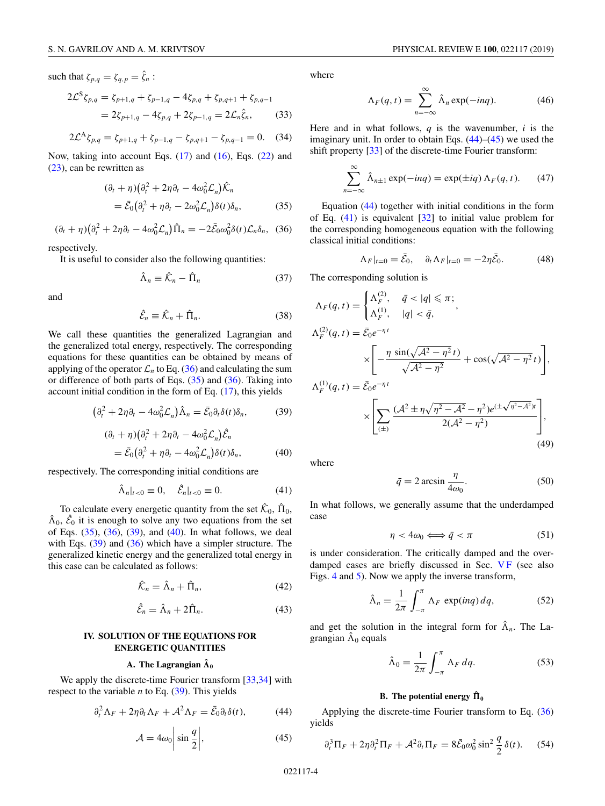<span id="page-3-0"></span>such that  $\zeta_{p,q} = \zeta_{q,p} = \hat{\zeta}_n$ :

$$
2\mathcal{L}^{S}\zeta_{p,q} = \zeta_{p+1,q} + \zeta_{p-1,q} - 4\zeta_{p,q} + \zeta_{p,q+1} + \zeta_{p,q-1}
$$
  
=  $2\zeta_{p+1,q} - 4\zeta_{p,q} + 2\zeta_{p-1,q} = 2\mathcal{L}_n\hat{\zeta}_n,$  (33)

$$
2\mathcal{L}^{\mathcal{A}}\zeta_{p,q} = \zeta_{p+1,q} + \zeta_{p-1,q} - \zeta_{p,q+1} - \zeta_{p,q-1} = 0. \tag{34}
$$

Now, taking into account Eqs. [\(17\)](#page-2-0) and [\(16\)](#page-2-0), Eqs. [\(22\)](#page-2-0) and [\(23\)](#page-2-0), can be rewritten as

$$
(\partial_t + \eta) (\partial_t^2 + 2\eta \partial_t - 4\omega_0^2 \mathcal{L}_n) \hat{\mathcal{K}}_n
$$
  
=  $\bar{\mathcal{E}}_0 (\partial_t^2 + \eta \partial_t - 2\omega_0^2 \mathcal{L}_n) \delta(t) \delta_n,$  (35)

$$
(\partial_t + \eta) \big( \partial_t^2 + 2\eta \partial_t - 4\omega_0^2 \mathcal{L}_n \big) \hat{\Pi}_n = -2\bar{\mathcal{E}}_0 \omega_0^2 \delta(t) \mathcal{L}_n \delta_n, \tag{36}
$$

respectively.

It is useful to consider also the following quantities:

$$
\hat{\Lambda}_n \equiv \hat{\mathcal{K}}_n - \hat{\Pi}_n \tag{37}
$$

and

$$
\hat{\mathcal{E}}_n \equiv \hat{\mathcal{K}}_n + \hat{\Pi}_n. \tag{38}
$$

We call these quantities the generalized Lagrangian and the generalized total energy, respectively. The corresponding equations for these quantities can be obtained by means of applying of the operator  $\mathcal{L}_n$  to Eq. (36) and calculating the sum or difference of both parts of Eqs.  $(35)$  and  $(36)$ . Taking into account initial condition in the form of Eq. [\(17\)](#page-2-0), this yields

$$
\left(\partial_t^2 + 2\eta \partial_t - 4\omega_0^2 \mathcal{L}_n\right) \hat{\Lambda}_n = \bar{\mathcal{E}}_0 \partial_t \delta(t) \delta_n, \tag{39}
$$

$$
(\partial_t + \eta) (\partial_t^2 + 2\eta \partial_t - 4\omega_0^2 \mathcal{L}_n) \hat{\mathcal{E}}_n
$$
  
=  $\bar{\mathcal{E}}_0 (\partial_t^2 + \eta \partial_t - 4\omega_0^2 \mathcal{L}_n) \delta(t) \delta_n,$  (40)

respectively. The corresponding initial conditions are

$$
\hat{\Lambda}_n|_{t<0}\equiv 0, \quad \hat{\mathcal{E}}_n|_{t<0}\equiv 0. \tag{41}
$$

To calculate every energetic quantity from the set  $\hat{\mathcal{K}}_0$ ,  $\hat{\Pi}_0$ ,  $\hat{\Lambda}_0$ ,  $\hat{\mathcal{E}}_0$  it is enough to solve any two equations from the set of Eqs. (35), (36), (39), and (40). In what follows, we deal with Eqs. (39) and (36) which have a simpler structure. The generalized kinetic energy and the generalized total energy in this case can be calculated as follows:

$$
\hat{\mathcal{K}}_n = \hat{\Lambda}_n + \hat{\Pi}_n,\tag{42}
$$

$$
\hat{\mathcal{E}}_n = \hat{\Lambda}_n + 2\hat{\Pi}_n. \tag{43}
$$

## **IV. SOLUTION OF THE EQUATIONS FOR ENERGETIC QUANTITIES**

# $\mathbf{A}.$  The Lagrangian  $\hat{\mathbf{\Lambda}}_0$

We apply the discrete-time Fourier transform [\[33,34\]](#page-12-0) with respect to the variable *n* to Eq. (39). This yields

$$
\partial_t^2 \Lambda_F + 2\eta \partial_t \Lambda_F + \mathcal{A}^2 \Lambda_F = \bar{\mathcal{E}}_0 \partial_t \delta(t), \tag{44}
$$

$$
\mathcal{A} = 4\omega_0 \bigg| \sin \frac{q}{2} \bigg|, \tag{45}
$$

where

$$
\Lambda_F(q, t) = \sum_{n = -\infty}^{\infty} \hat{\Lambda}_n \exp(-inq). \tag{46}
$$

Here and in what follows, *q* is the wavenumber, *i* is the imaginary unit. In order to obtain Eqs.  $(44)$ – $(45)$  we used the shift property [\[33\]](#page-12-0) of the discrete-time Fourier transform:

$$
\sum_{n=-\infty}^{\infty} \hat{\Lambda}_{n\pm 1} \exp(-inq) = \exp(\pm iq) \Lambda_F(q, t). \tag{47}
$$

Equation (44) together with initial conditions in the form of Eq. (41) is equivalent [\[32\]](#page-12-0) to initial value problem for the corresponding homogeneous equation with the following classical initial conditions:

$$
\Lambda_F|_{t=0} = \bar{\mathcal{E}}_0, \quad \partial_t \Lambda_F|_{t=0} = -2\eta \bar{\mathcal{E}}_0. \tag{48}
$$

The corresponding solution is

$$
\Lambda_F(q, t) = \begin{cases}\n\Lambda_F^{(2)}, & \bar{q} < |q| \leq \pi; \\
\Lambda_F^{(1)}, & |q| < \bar{q},\n\end{cases}
$$
\n
$$
\Lambda_F^{(2)}(q, t) = \bar{\mathcal{E}}_0 e^{-\eta t}
$$
\n
$$
\times \left[ -\frac{\eta \sin(\sqrt{\mathcal{A}^2 - \eta^2} t)}{\sqrt{\mathcal{A}^2 - \eta^2}} + \cos(\sqrt{\mathcal{A}^2 - \eta^2} t) \right]
$$
\n
$$
\Lambda_F^{(1)}(q, t) = \bar{\mathcal{E}}_0 e^{-\eta t}
$$
\n
$$
\times \left[ \sum_{(\pm)} \frac{(\mathcal{A}^2 \pm \eta \sqrt{\eta^2 - \mathcal{A}^2} - \eta^2) e^{(\pm \sqrt{\eta^2 - \mathcal{A}^2})t}}{2(\mathcal{A}^2 - \eta^2)} \right],
$$
\n(49)

where

$$
\bar{q} = 2 \arcsin \frac{\eta}{4\omega_0}.
$$
 (50)

In what follows, we generally assume that the underdamped case

$$
\eta < 4\omega_0 \Longleftrightarrow \bar{q} < \pi \tag{51}
$$

is under consideration. The critically damped and the overdamped cases are briefly discussed in Sec.  $VF$  (see also Figs. [4](#page-7-0) and [5\)](#page-7-0). Now we apply the inverse transform,

$$
\hat{\Lambda}_n = \frac{1}{2\pi} \int_{-\pi}^{\pi} \Lambda_F \, \exp(i n q) \, dq,\tag{52}
$$

and get the solution in the integral form for  $\hat{\Lambda}_n$ . The Lagrangian  $\hat{\Lambda}_0$  equals

$$
\hat{\Lambda}_0 = \frac{1}{2\pi} \int_{-\pi}^{\pi} \Lambda_F \, dq. \tag{53}
$$

## **B.** The potential energy  $\hat{\Pi}_0$

Applying the discrete-time Fourier transform to Eq. (36) yields

$$
\partial_t^3 \Pi_F + 2\eta \partial_t^2 \Pi_F + \mathcal{A}^2 \partial_t \Pi_F = 8\bar{\mathcal{E}}_0 \omega_0^2 \sin^2 \frac{q}{2} \delta(t). \tag{54}
$$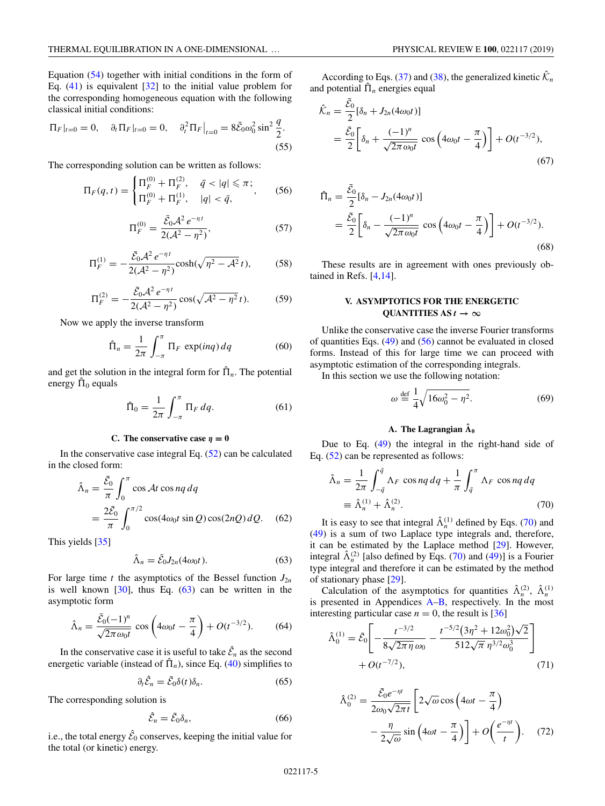<span id="page-4-0"></span>Equation [\(54\)](#page-3-0) together with initial conditions in the form of Eq.  $(41)$  is equivalent  $[32]$  to the initial value problem for the corresponding homogeneous equation with the following classical initial conditions:

$$
\Pi_F|_{t=0} = 0, \quad \partial_t \Pi_F|_{t=0} = 0, \quad \partial_t^2 \Pi_F|_{t=0} = 8\bar{\mathcal{E}}_0 \omega_0^2 \sin^2 \frac{q}{2}.
$$
\n(55)

The corresponding solution can be written as follows:

$$
\Pi_F(q, t) = \begin{cases} \Pi_F^{(0)} + \Pi_F^{(2)}, & \bar{q} < |q| \leq \pi; \\ \Pi_F^{(0)} + \Pi_F^{(1)}, & |q| < \bar{q}, \end{cases}
$$
(56)

$$
\Pi_F^{(0)} = \frac{\bar{\mathcal{E}}_0 \mathcal{A}^2 e^{-\eta t}}{2(\mathcal{A}^2 - \eta^2)},\tag{57}
$$

$$
\Pi_F^{(1)} = -\frac{\bar{\mathcal{E}}_0 \mathcal{A}^2 e^{-\eta t}}{2(\mathcal{A}^2 - \eta^2)} \cosh(\sqrt{\eta^2 - \mathcal{A}^2} t),\tag{58}
$$

$$
\Pi_F^{(2)} = -\frac{\bar{\mathcal{E}}_0 \mathcal{A}^2 e^{-\eta t}}{2(\mathcal{A}^2 - \eta^2)} \cos(\sqrt{\mathcal{A}^2 - \eta^2} t). \tag{59}
$$

Now we apply the inverse transform

$$
\hat{\Pi}_n = \frac{1}{2\pi} \int_{-\pi}^{\pi} \Pi_F \, \exp(i n q) \, dq \tag{60}
$$

and get the solution in the integral form for  $\hat{\Pi}_n$ . The potential energy  $\hat{\Pi}_0$  equals

$$
\hat{\Pi}_0 = \frac{1}{2\pi} \int_{-\pi}^{\pi} \Pi_F \, dq.
$$
\n(61)

### **C.** The conservative case  $\eta = 0$

In the conservative case integral Eq.  $(52)$  can be calculated in the closed form:

$$
\hat{\Lambda}_n = \frac{\bar{\mathcal{E}}_0}{\pi} \int_0^{\pi} \cos \mathcal{A} t \cos nq \, dq
$$
  
= 
$$
\frac{2\bar{\mathcal{E}}_0}{\pi} \int_0^{\pi/2} \cos(4\omega_0 t \sin Q) \cos(2nQ) \, dQ.
$$
 (62)

This yields [\[35\]](#page-12-0)

$$
\hat{\Lambda}_n = \bar{\mathcal{E}}_0 J_{2n}(4\omega_0 t). \tag{63}
$$

For large time  $t$  the asymptotics of the Bessel function  $J_{2n}$ is well known  $[30]$ , thus Eq.  $(63)$  can be written in the asymptotic form

$$
\hat{\Lambda}_n = \frac{\bar{\mathcal{E}}_0(-1)^n}{\sqrt{2\pi\omega_0 t}} \cos\left(4\omega_0 t - \frac{\pi}{4}\right) + O(t^{-3/2}).\tag{64}
$$

In the conservative case it is useful to take  $\hat{\mathcal{E}}_n$  as the second energetic variable (instead of  $\hat{\Pi}_n$ ), since Eq. [\(40\)](#page-3-0) simplifies to

$$
\partial_t \hat{\mathcal{E}}_n = \bar{\mathcal{E}}_0 \delta(t) \delta_n. \tag{65}
$$

The corresponding solution is

$$
\hat{\mathcal{E}}_n = \bar{\mathcal{E}}_0 \delta_n,\tag{66}
$$

i.e., the total energy  $\hat{\mathcal{E}}_0$  conserves, keeping the initial value for the total (or kinetic) energy.

According to Eqs. [\(37\)](#page-3-0) and [\(38\)](#page-3-0), the generalized kinetic  $\hat{\mathcal{K}}_n$ and potential  $\hat{\Pi}_n$  energies equal

$$
\hat{\mathcal{K}}_n = \frac{\bar{\mathcal{E}}_0}{2} [\delta_n + J_{2n}(4\omega_0 t)]
$$
  
= 
$$
\frac{\bar{\mathcal{E}}_0}{2} \bigg[ \delta_n + \frac{(-1)^n}{\sqrt{2\pi \omega_0 t}} \cos\left(4\omega_0 t - \frac{\pi}{4}\right) \bigg] + O(t^{-3/2}),
$$
\n(67)

$$
\hat{\Pi}_n = \frac{\bar{\mathcal{E}}_0}{2} [\delta_n - J_{2n}(4\omega_0 t)] \n= \frac{\bar{\mathcal{E}}_0}{2} \bigg[ \delta_n - \frac{(-1)^n}{\sqrt{2\pi \omega_0 t}} \cos \left( 4\omega_0 t - \frac{\pi}{4} \right) \bigg] + O(t^{-3/2}).
$$
\n(68)

These results are in agreement with ones previously obtained in Refs. [\[4,14\]](#page-11-0).

## **V. ASYMPTOTICS FOR THE ENERGETIC QUANTITIES AS**  $t \to \infty$

Unlike the conservative case the inverse Fourier transforms of quantities Eqs. [\(49\)](#page-3-0) and (56) cannot be evaluated in closed forms. Instead of this for large time we can proceed with asymptotic estimation of the corresponding integrals.

In this section we use the following notation:

$$
\omega \stackrel{\text{def}}{=} \frac{1}{4} \sqrt{16\omega_0^2 - \eta^2}.
$$
 (69)

# $\mathbf{A}$ . The Lagrangian  $\mathbf{\hat{\Lambda}}_0$

Due to Eq. [\(49\)](#page-3-0) the integral in the right-hand side of Eq. [\(52\)](#page-3-0) can be represented as follows:

$$
\hat{\Lambda}_n = \frac{1}{2\pi} \int_{-\bar{q}}^{\bar{q}} \Lambda_F \cos nq \, dq + \frac{1}{\pi} \int_{\bar{q}}^{\pi} \Lambda_F \cos nq \, dq
$$
\n
$$
\equiv \hat{\Lambda}_n^{(1)} + \hat{\Lambda}_n^{(2)}.
$$
\n(70)

It is easy to see that integral  $\hat{\Lambda}_n^{(1)}$  defined by Eqs. (70) and [\(49\)](#page-3-0) is a sum of two Laplace type integrals and, therefore, it can be estimated by the Laplace method [\[29\]](#page-11-0). However, integral  $\hat{\Lambda}_n^{(2)}$  [also defined by Eqs. (70) and [\(49\)](#page-3-0)] is a Fourier type integral and therefore it can be estimated by the method of stationary phase [\[29\]](#page-11-0).

Calculation of the asymptotics for quantities  $\hat{\Lambda}_n^{(2)}$ ,  $\hat{\Lambda}_n^{(1)}$ is presented in Appendices [A–B,](#page-8-0) respectively. In the most interesting particular case  $n = 0$ , the result is [\[36\]](#page-12-0)

$$
\hat{\Lambda}_0^{(1)} = \bar{\mathcal{E}}_0 \left[ -\frac{t^{-3/2}}{8\sqrt{2\pi\eta}\,\omega_0} - \frac{t^{-5/2}(3\eta^2 + 12\omega_0^2)\sqrt{2}}{512\sqrt{\pi}\,\eta^{3/2}\omega_0^3} \right] + O(t^{-7/2}),\tag{71}
$$

$$
\hat{\Lambda}_0^{(2)} = \frac{\bar{\mathcal{E}}_0 e^{-\eta t}}{2\omega_0 \sqrt{2\pi t}} \left[ 2\sqrt{\omega} \cos\left(4\omega t - \frac{\pi}{4}\right) - \frac{\eta}{2\sqrt{\omega}} \sin\left(4\omega t - \frac{\pi}{4}\right) \right] + O\left(\frac{e^{-\eta t}}{t}\right). \tag{72}
$$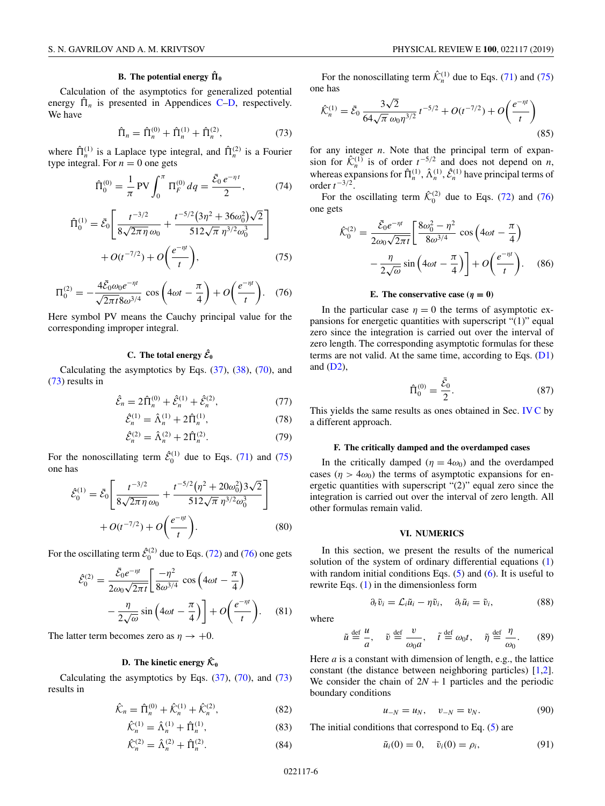### **B.** The potential energy  $\hat{\Pi}_0$

<span id="page-5-0"></span>Calculation of the asymptotics for generalized potential energy  $\hat{\Pi}_n$  is presented in Appendices [C](#page-9-0)[–D,](#page-10-0) respectively. We have

$$
\hat{\Pi}_n = \hat{\Pi}_n^{(0)} + \hat{\Pi}_n^{(1)} + \hat{\Pi}_n^{(2)},\tag{73}
$$

where  $\hat{\Pi}_n^{(1)}$  is a Laplace type integral, and  $\hat{\Pi}_n^{(2)}$  is a Fourier type integral. For  $n = 0$  one gets

$$
\hat{\Pi}_0^{(0)} = \frac{1}{\pi} \text{PV} \int_0^{\pi} \Pi_F^{(0)} dq = \frac{\bar{\mathcal{E}}_0 e^{-\eta t}}{2},\tag{74}
$$

$$
\hat{\Pi}_{0}^{(1)} = \bar{\mathcal{E}}_{0} \left[ \frac{t^{-3/2}}{8\sqrt{2\pi\eta}\,\omega_{0}} + \frac{t^{-5/2}(3\eta^{2} + 36\omega_{0}^{2})\sqrt{2}}{512\sqrt{\pi}\,\eta^{3/2}\omega_{0}^{3}} \right] + O(t^{-7/2}) + O\left(\frac{e^{-\eta t}}{t}\right),\tag{75}
$$

$$
\Pi_0^{(2)} = -\frac{4\bar{\mathcal{E}}_0 \omega_0 e^{-\eta t}}{\sqrt{2\pi t} 8\omega^{3/4}} \cos\left(4\omega t - \frac{\pi}{4}\right) + O\left(\frac{e^{-\eta t}}{t}\right). \quad (76)
$$

Here symbol PV means the Cauchy principal value for the corresponding improper integral.

# **C.** The total energy  $\hat{\mathcal{E}}_0$

Calculating the asymptotics by Eqs. [\(37\)](#page-3-0), [\(38\)](#page-3-0), [\(70\)](#page-4-0), and (73) results in

$$
\hat{\mathcal{E}}_n = 2\hat{\Pi}_n^{(0)} + \hat{\mathcal{E}}_n^{(1)} + \hat{\mathcal{E}}_n^{(2)},\tag{77}
$$

$$
\hat{\mathcal{E}}_n^{(1)} = \hat{\Lambda}_n^{(1)} + 2\hat{\Pi}_n^{(1)},\tag{78}
$$

$$
\hat{\mathcal{E}}_n^{(2)} = \hat{\Lambda}_n^{(2)} + 2\hat{\Pi}_n^{(2)}.
$$
 (79)

For the nonoscillating term  $\hat{\mathcal{E}}_0^{(1)}$  due to Eqs. [\(71\)](#page-4-0) and (75) one has

$$
\hat{\mathcal{E}}_{0}^{(1)} = \bar{\mathcal{E}}_{0} \left[ \frac{t^{-3/2}}{8\sqrt{2\pi\eta}\,\omega_{0}} + \frac{t^{-5/2}(\eta^{2} + 20\omega_{0}^{2})3\sqrt{2}}{512\sqrt{\pi}\,\eta^{3/2}\omega_{0}^{3}} \right] + O(t^{-7/2}) + O\left(\frac{e^{-\eta t}}{t}\right).
$$
\n(80)

For the oscillating term  $\hat{\mathcal{E}}_0^{(2)}$  due to Eqs. [\(72\)](#page-4-0) and (76) one gets

$$
\hat{\mathcal{E}}_0^{(2)} = \frac{\bar{\mathcal{E}}_0 e^{-\eta t}}{2\omega_0 \sqrt{2\pi t}} \left[ \frac{-\eta^2}{8\omega^{3/4}} \cos\left(4\omega t - \frac{\pi}{4}\right) - \frac{\eta}{2\sqrt{\omega}} \sin\left(4\omega t - \frac{\pi}{4}\right) \right] + O\left(\frac{e^{-\eta t}}{t}\right). \tag{81}
$$

The latter term becomes zero as  $\eta \rightarrow +0$ .

### **D.** The kinetic energy  $\hat{\mathcal{K}}_0$

Calculating the asymptotics by Eqs.  $(37)$ ,  $(70)$ , and  $(73)$ results in

$$
\hat{\mathcal{K}}_n = \hat{\Pi}_n^{(0)} + \hat{\mathcal{K}}_n^{(1)} + \hat{\mathcal{K}}_n^{(2)},
$$
\n(82)

$$
\hat{\mathcal{K}}_n^{(1)} = \hat{\Lambda}_n^{(1)} + \hat{\Pi}_n^{(1)},\tag{83}
$$

$$
\hat{\mathcal{K}}_n^{(2)} = \hat{\Lambda}_n^{(2)} + \hat{\Pi}_n^{(2)}.
$$
 (84)

For the nonoscillating term  $\hat{\mathcal{K}}_n^{(1)}$  due to Eqs. [\(71\)](#page-4-0) and (75) one has

$$
\hat{\mathcal{K}}_n^{(1)} = \bar{\mathcal{E}}_0 \frac{3\sqrt{2}}{64\sqrt{\pi} \omega_0 \eta^{3/2}} t^{-5/2} + O(t^{-7/2}) + O\left(\frac{e^{-\eta t}}{t}\right)
$$
\n(85)

for any integer *n*. Note that the principal term of expansion for  $\hat{\mathcal{K}}_n^{(1)}$  is of order  $t^{-5/2}$  and does not depend on *n*, whereas expansions for  $\hat{\Pi}_n^{(1)}$ ,  $\hat{\Lambda}_n^{(1)}$ ,  $\hat{\mathcal{E}}_n^{(1)}$  have principal terms of order  $t^{-3/2}$ .

For the oscillating term  $\hat{\mathcal{K}}_0^{(2)}$  due to Eqs. [\(72\)](#page-4-0) and (76) one gets

$$
\hat{\mathcal{K}}_{0}^{(2)} = \frac{\bar{\mathcal{E}}_{0}e^{-\eta t}}{2\omega_{0}\sqrt{2\pi t}} \left[\frac{8\omega_{0}^{2} - \eta^{2}}{8\omega^{3/4}}\cos\left(4\omega t - \frac{\pi}{4}\right) - \frac{\eta}{2\sqrt{\omega}}\sin\left(4\omega t - \frac{\pi}{4}\right)\right] + O\left(\frac{e^{-\eta t}}{t}\right). \tag{86}
$$

### **E.** The conservative case  $(\eta = 0)$

In the particular case  $\eta = 0$  the terms of asymptotic expansions for energetic quantities with superscript "(1)" equal zero since the integration is carried out over the interval of zero length. The corresponding asymptotic formulas for these terms are not valid. At the same time, according to Eqs.  $(D1)$ and  $(D2)$ ,

$$
\hat{\Pi}_0^{(0)} = \frac{\bar{\mathcal{E}}_0}{2}.
$$
\n(87)

This yields the same results as ones obtained in Sec. [IV C](#page-4-0) by a different approach.

### **F. The critically damped and the overdamped cases**

In the critically damped ( $\eta = 4\omega_0$ ) and the overdamped cases ( $\eta > 4\omega_0$ ) the terms of asymptotic expansions for energetic quantities with superscript "(2)" equal zero since the integration is carried out over the interval of zero length. All other formulas remain valid.

### **VI. NUMERICS**

In this section, we present the results of the numerical solution of the system of ordinary differential equations [\(1\)](#page-1-0) with random initial conditions Eqs.  $(5)$  and  $(6)$ . It is useful to rewrite Eqs. [\(1\)](#page-1-0) in the dimensionless form

$$
\partial_t \tilde{v}_i = \mathcal{L}_i \tilde{u}_i - \eta \tilde{v}_i, \quad \partial_t \tilde{u}_i = \tilde{v}_i,
$$
 (88)

where

$$
\tilde{u} \stackrel{\text{def}}{=} \frac{u}{a}, \quad \tilde{v} \stackrel{\text{def}}{=} \frac{v}{\omega_0 a}, \quad \tilde{t} \stackrel{\text{def}}{=} \omega_0 t, \quad \tilde{\eta} \stackrel{\text{def}}{=} \frac{\eta}{\omega_0}.
$$
 (89)

Here *a* is a constant with dimension of length, e.g., the lattice constant (the distance between neighboring particles) [\[1,2\]](#page-11-0). We consider the chain of  $2N + 1$  particles and the periodic boundary conditions

$$
u_{-N} = u_N, \quad v_{-N} = v_N. \tag{90}
$$

The initial conditions that correspond to Eq. [\(5\)](#page-1-0) are

$$
\tilde{u}_i(0) = 0, \quad \tilde{v}_i(0) = \rho_i,\tag{91}
$$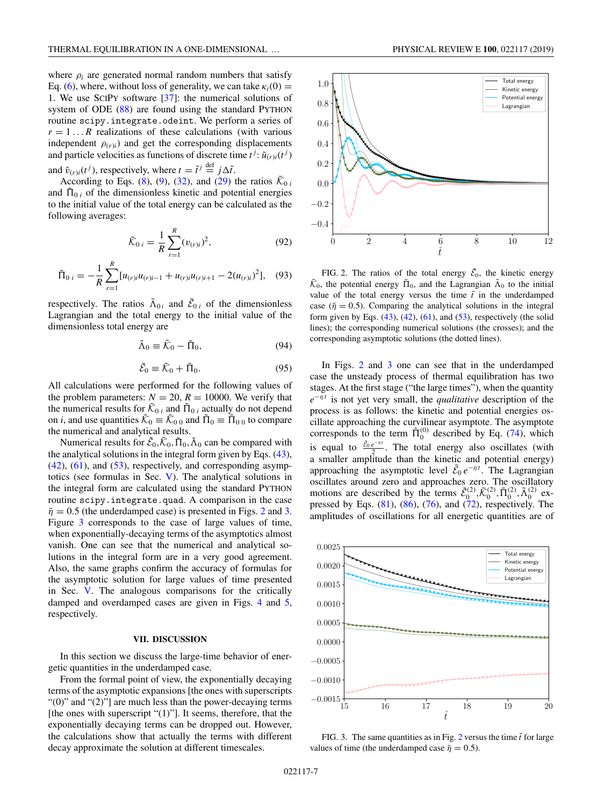<span id="page-6-0"></span>where  $\rho_i$  are generated normal random numbers that satisfy Eq. [\(6\)](#page-1-0), where, without loss of generality, we can take  $\kappa_i(0) =$ 1. We use SCIPY software [\[37\]](#page-12-0): the numerical solutions of system of ODE [\(88\)](#page-5-0) are found using the standard PYTHON routine scipy.integrate.odeint. We perform a series of  $r = 1...R$  realizations of these calculations (with various independent  $\rho(r)i$  and get the corresponding displacements and particle velocities as functions of discrete time  $t^j$ :  $\tilde{u}_{(r)i}(t^j)$ and  $\tilde{v}_{(r)i}(t^j)$ , respectively, where  $t = \tilde{t}^j \stackrel{\text{def}}{=} j\Delta\tilde{t}$ .

According to Eqs. [\(8\)](#page-1-0), [\(9\)](#page-1-0), [\(32\)](#page-2-0), and [\(29\)](#page-2-0) the ratios  $\tilde{\mathcal{K}}_{0i}$ and  $\tilde{\Pi}_{0i}$  of the dimensionless kinetic and potential energies to the initial value of the total energy can be calculated as the following averages:

$$
\tilde{\mathcal{K}}_{0 i} = \frac{1}{R} \sum_{r=1}^{R} (v_{(r)i})^2, \tag{92}
$$

$$
\tilde{\Pi}_{0 i} = -\frac{1}{R} \sum_{r=1}^{R} [u_{(r)i}u_{(r)i-1} + u_{(r)i}u_{(r)i+1} - 2(u_{(r)i})^2], \quad (93)
$$

respectively. The ratios  $\tilde{\Lambda}_{0i}$  and  $\tilde{\mathcal{E}}_{0i}$  of the dimensionless Lagrangian and the total energy to the initial value of the dimensionless total energy are

$$
\tilde{\Lambda}_0 \equiv \tilde{\mathcal{K}}_0 - \tilde{\Pi}_0,\tag{94}
$$

$$
\tilde{\mathcal{E}}_0 \equiv \tilde{\mathcal{K}}_0 + \tilde{\Pi}_0. \tag{95}
$$

All calculations were performed for the following values of the problem parameters:  $N = 20$ ,  $R = 10000$ . We verify that the numerical results for  $\tilde{\mathcal{K}}_{0i}$  and  $\tilde{\Pi}_{0i}$  actually do not depend on *i*, and use quantities  $\tilde{\mathcal{K}}_0 \equiv \tilde{\mathcal{K}}_{0,0}$  and  $\tilde{\Pi}_0 \equiv \tilde{\Pi}_{0,0}$  to compare the numerical and analytical results.

Numerical results for  $\tilde{\mathcal{E}}_0$ ,  $\tilde{\mathcal{K}}_0$ ,  $\tilde{\Pi}_0$ ,  $\tilde{\Lambda}_0$  can be compared with the analytical solutions in the integral form given by Eqs. [\(43\)](#page-3-0),  $(42)$ ,  $(61)$ , and  $(53)$ , respectively, and corresponding asymptotics (see formulas in Sec. [V\)](#page-4-0). The analytical solutions in the integral form are calculated using the standard PYTHON routine scipy.integrate.quad. A comparison in the case  $\tilde{\eta} = 0.5$  (the underdamped case) is presented in Figs. 2 and 3. Figure 3 corresponds to the case of large values of time, when exponentially-decaying terms of the asymptotics almost vanish. One can see that the numerical and analytical solutions in the integral form are in a very good agreement. Also, the same graphs confirm the accuracy of formulas for the asymptotic solution for large values of time presented in Sec. [V.](#page-4-0) The analogous comparisons for the critically damped and overdamped cases are given in Figs. [4](#page-7-0) and [5,](#page-7-0) respectively.

### **VII. DISCUSSION**

In this section we discuss the large-time behavior of energetic quantities in the underdamped case.

From the formal point of view, the exponentially decaying terms of the asymptotic expansions [the ones with superscripts " $(0)$ " and " $(2)$ "] are much less than the power-decaying terms [the ones with superscript "(1)"]. It seems, therefore, that the exponentially decaying terms can be dropped out. However, the calculations show that actually the terms with different decay approximate the solution at different timescales.



FIG. 2. The ratios of the total energy  $\tilde{\mathcal{E}}_0$ , the kinetic energy  $\tilde{\mathcal{K}}_0$ , the potential energy  $\tilde{\Pi}_0$ , and the Lagrangian  $\tilde{\Lambda}_0$  to the initial value of the total energy versus the time  $\tilde{t}$  in the underdamped case ( $\tilde{\eta} = 0.5$ ). Comparing the analytical solutions in the integral form given by Eqs.  $(43)$ ,  $(42)$ ,  $(61)$ , and  $(53)$ , respectively (the solid lines); the corresponding numerical solutions (the crosses); and the corresponding asymptotic solutions (the dotted lines).

In Figs. 2 and 3 one can see that in the underdamped case the unsteady process of thermal equilibration has two stages. At the first stage ("the large times"), when the quantity *e*<sup>−η*t*</sup> is not yet very small, the *qualitative* description of the process is as follows: the kinetic and potential energies oscillate approaching the curvilinear asymptote. The asymptote corresponds to the term  $\hat{\Pi}_0^{(0)}$  described by Eq. [\(74\)](#page-5-0), which is equal to  $\frac{\bar{\mathcal{E}}_0 e^{-\eta t}}{2}$ . The total energy also oscillates (with a smaller amplitude than the kinetic and potential energy) approaching the asymptotic level  $\bar{\mathcal{E}}_0 e^{-\eta t}$ . The Lagrangian oscillates around zero and approaches zero. The oscillatory motions are described by the terms  $\tilde{\mathcal{E}}_0^{(2)}, \tilde{\mathcal{K}}_0^{(2)}, \tilde{\Pi}_0^{(2)}, \tilde{\Lambda}_0^{(2)}$  expressed by Eqs.  $(81)$ ,  $(86)$ ,  $(76)$ , and  $(72)$ , respectively. The amplitudes of oscillations for all energetic quantities are of



FIG. 3. The same quantities as in Fig.  $2$  versus the time  $\tilde{t}$  for large values of time (the underdamped case  $\tilde{\eta} = 0.5$ ).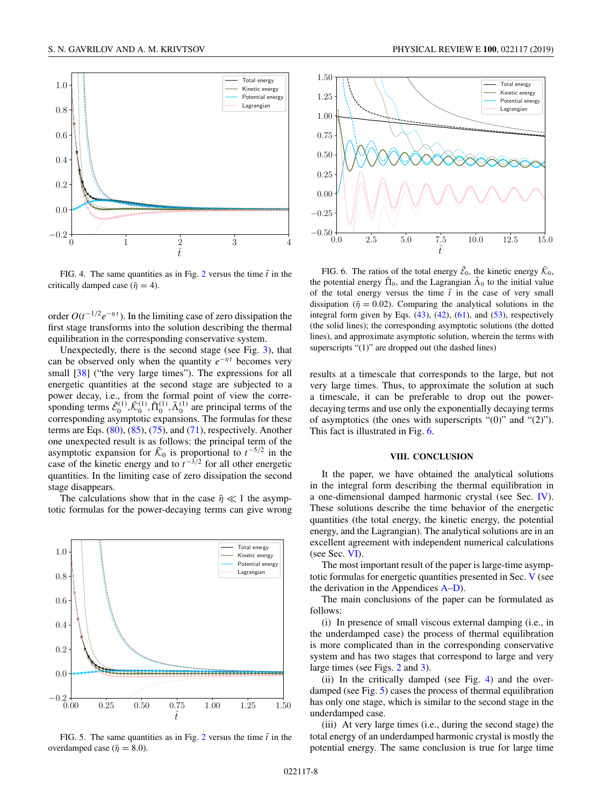<span id="page-7-0"></span>

FIG. 4. The same quantities as in Fig. [2](#page-6-0) versus the time  $\tilde{t}$  in the critically damped case ( $\tilde{\eta} = 4$ ).

order *O*(*t*−1/2*e*−<sup>η</sup> *<sup>t</sup>* ). In the limiting case of zero dissipation the first stage transforms into the solution describing the thermal equilibration in the corresponding conservative system.

Unexpectedly, there is the second stage (see Fig. [3\)](#page-6-0), that can be observed only when the quantity  $e^{-\eta t}$  becomes very small [\[38\]](#page-12-0) ("the very large times"). The expressions for all energetic quantities at the second stage are subjected to a power decay, i.e., from the formal point of view the corresponding terms  $\tilde{\mathcal{E}}_0^{(1)}, \tilde{\mathcal{K}}_0^{(1)}, \tilde{\Pi}_0^{(1)}, \tilde{\Lambda}_0^{(1)}$  are principal terms of the corresponding asymptotic expansions. The formulas for these terms are Eqs.  $(80)$ ,  $(85)$ ,  $(75)$ , and  $(71)$ , respectively. Another one unexpected result is as follows: the principal term of the asymptotic expansion for  $\tilde{\mathcal{K}}_0$  is proportional to  $t^{-5/2}$  in the case of the kinetic energy and to *t*−3/<sup>2</sup> for all other energetic quantities. In the limiting case of zero dissipation the second stage disappears.

The calculations show that in the case  $\tilde{\eta} \ll 1$  the asymptotic formulas for the power-decaying terms can give wrong



FIG. 5. The same quantities as in Fig. [2](#page-6-0) versus the time  $\tilde{t}$  in the overdamped case ( $\tilde{\eta} = 8.0$ ).



FIG. 6. The ratios of the total energy  $\tilde{\mathcal{E}}_0$ , the kinetic energy  $\tilde{\mathcal{K}}_0$ , the potential energy  $\tilde{\Pi}_0$ , and the Lagrangian  $\tilde{\Lambda}_0$  to the initial value of the total energy versus the time  $\tilde{t}$  in the case of very small dissipation ( $\tilde{\eta} = 0.02$ ). Comparing the analytical solutions in the integral form given by Eqs.  $(43)$ ,  $(42)$ ,  $(61)$ , and  $(53)$ , respectively (the solid lines); the corresponding asymptotic solutions (the dotted lines), and approximate asymptotic solution, wherein the terms with superscripts "(1)" are dropped out (the dashed lines)

results at a timescale that corresponds to the large, but not very large times. Thus, to approximate the solution at such a timescale, it can be preferable to drop out the powerdecaying terms and use only the exponentially decaying terms of asymptotics (the ones with superscripts "(0)" and "(2)"). This fact is illustrated in Fig. 6.

### **VIII. CONCLUSION**

It the paper, we have obtained the analytical solutions in the integral form describing the thermal equilibration in a one-dimensional damped harmonic crystal (see Sec. [IV\)](#page-3-0). These solutions describe the time behavior of the energetic quantities (the total energy, the kinetic energy, the potential energy, and the Lagrangian). The analytical solutions are in an excellent agreement with independent numerical calculations (see Sec. [VI\)](#page-5-0).

The most important result of the paper is large-time asymptotic formulas for energetic quantities presented in Sec. [V](#page-4-0) (see the derivation in the [A](#page-8-0)ppendices  $A-D$ ).

The main conclusions of the paper can be formulated as follows:

(i) In presence of small viscous external damping (i.e., in the underdamped case) the process of thermal equilibration is more complicated than in the corresponding conservative system and has two stages that correspond to large and very large times (see Figs. [2](#page-6-0) and [3\)](#page-6-0).

(ii) In the critically damped (see Fig. 4) and the overdamped (see Fig. 5) cases the process of thermal equilibration has only one stage, which is similar to the second stage in the underdamped case.

(iii) At very large times (i.e., during the second stage) the total energy of an underdamped harmonic crystal is mostly the potential energy. The same conclusion is true for large time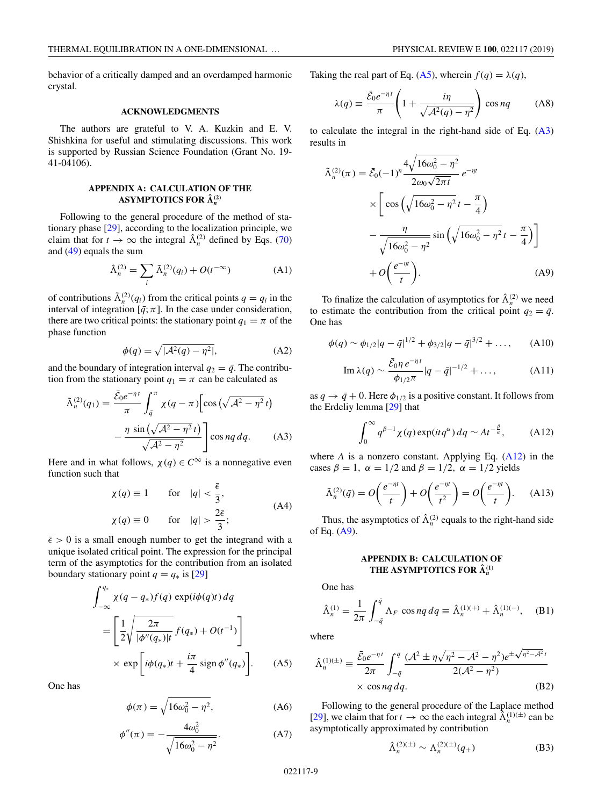<span id="page-8-0"></span>behavior of a critically damped and an overdamped harmonic crystal.

### **ACKNOWLEDGMENTS**

The authors are grateful to V. A. Kuzkin and E. V. Shishkina for useful and stimulating discussions. This work is supported by Russian Science Foundation (Grant No. 19- 41-04106).

## **APPENDIX A: CALCULATION OF THE ASYMPTOTICS FOR**  $\hat{\Lambda}_n^{(2)}$

Following to the general procedure of the method of stationary phase [\[29\]](#page-11-0), according to the localization principle, we claim that for  $t \to \infty$  the integral  $\hat{\Lambda}_n^{(2)}$  defined by Eqs. [\(70\)](#page-4-0) and [\(49\)](#page-3-0) equals the sum

$$
\hat{\Lambda}_n^{(2)} = \sum_i \tilde{\Lambda}_n^{(2)}(q_i) + O(t^{-\infty})
$$
\n(A1)

of contributions  $\tilde{\Lambda}_n^{(2)}(q_i)$  from the critical points  $q = q_i$  in the interval of integration  $[\bar{q}; \pi]$ . In the case under consideration, there are two critical points: the stationary point  $q_1 = \pi$  of the phase function

$$
\phi(q) = \sqrt{|\mathcal{A}^2(q) - \eta^2|},\tag{A2}
$$

and the boundary of integration interval  $q_2 = \bar{q}$ . The contribution from the stationary point  $q_1 = \pi$  can be calculated as

$$
\tilde{\Lambda}_n^{(2)}(q_1) = \frac{\bar{\mathcal{E}}_0 e^{-\eta t}}{\pi} \int_{\bar{q}}^{\pi} \chi(q - \pi) \left[ \cos \left( \sqrt{\mathcal{A}^2 - \eta^2} t \right) - \frac{\eta \sin \left( \sqrt{\mathcal{A}^2 - \eta^2} t \right)}{\sqrt{\mathcal{A}^2 - \eta^2}} \right] \cos nq \, dq. \tag{A3}
$$

Here and in what follows,  $\chi(q) \in C^{\infty}$  is a nonnegative even function such that

$$
\chi(q) \equiv 1 \quad \text{for} \quad |q| < \frac{\bar{\epsilon}}{3},
$$
\n
$$
\chi(q) \equiv 0 \quad \text{for} \quad |q| > \frac{2\bar{\epsilon}}{3}; \tag{A4}
$$

 $\bar{\epsilon} > 0$  is a small enough number to get the integrand with a unique isolated critical point. The expression for the principal term of the asymptotics for the contribution from an isolated boundary stationary point  $q = q_*$  is [\[29\]](#page-11-0)

$$
\int_{-\infty}^{q_*} \chi(q - q_*) f(q) \exp(i\phi(q)t) dq
$$
  
= 
$$
\left[ \frac{1}{2} \sqrt{\frac{2\pi}{|\phi''(q_*)|t}} f(q_*) + O(t^{-1}) \right]
$$
  

$$
\times \exp\left[i\phi(q_*)t + \frac{i\pi}{4} \operatorname{sign}\phi''(q_*)\right].
$$
 (A5)

One has

$$
\phi(\pi) = \sqrt{16\omega_0^2 - \eta^2},\tag{A6}
$$

$$
\phi''(\pi) = -\frac{4\omega_0^2}{\sqrt{16\omega_0^2 - \eta^2}}.\tag{A7}
$$

Taking the real part of Eq. (A5), wherein  $f(q) = \lambda(q)$ ,

$$
\lambda(q) \equiv \frac{\bar{\mathcal{E}}_0 e^{-\eta t}}{\pi} \left( 1 + \frac{i\eta}{\sqrt{\mathcal{A}^2(q) - \eta^2}} \right) \cos nq \tag{A8}
$$

to calculate the integral in the right-hand side of Eq. (A3) results in

$$
\tilde{\Lambda}_n^{(2)}(\pi) = \bar{\mathcal{E}}_0(-1)^n \frac{4\sqrt{16\omega_0^2 - \eta^2}}{2\omega_0\sqrt{2\pi t}} e^{-\eta t} \times \left[ \cos\left(\sqrt{16\omega_0^2 - \eta^2} t - \frac{\pi}{4}\right) \right. \left. - \frac{\eta}{\sqrt{16\omega_0^2 - \eta^2}} \sin\left(\sqrt{16\omega_0^2 - \eta^2} t - \frac{\pi}{4}\right) \right] + O\left(\frac{e^{-\eta t}}{t}\right).
$$
\n(A9)

To finalize the calculation of asymptotics for  $\hat{\Lambda}_n^{(2)}$  we need to estimate the contribution from the critical point  $q_2 = \bar{q}$ . One has

$$
\phi(q) \sim \phi_{1/2}|q - \bar{q}|^{1/2} + \phi_{3/2}|q - \bar{q}|^{3/2} + ..., \qquad (A10)
$$

Im 
$$
\lambda(q) \sim \frac{\bar{\mathcal{E}}_0 \eta e^{-\eta t}}{\phi_{1/2} \pi} |q - \bar{q}|^{-1/2} + ...,
$$
 (A11)

as  $q \rightarrow \bar{q} + 0$ . Here  $\phi_{1/2}$  is a positive constant. It follows from the Erdeliy lemma [\[29\]](#page-11-0) that

$$
\int_0^\infty q^{\beta-1} \chi(q) \exp(itq^\alpha) \, dq \sim At^{-\frac{\beta}{\alpha}},\tag{A12}
$$

where *A* is a nonzero constant. Applying Eq. (A12) in the cases  $\beta = 1$ ,  $\alpha = 1/2$  and  $\beta = 1/2$ ,  $\alpha = 1/2$  yields

$$
\tilde{\Lambda}_n^{(2)}(\bar{q}) = O\left(\frac{e^{-\eta t}}{t}\right) + O\left(\frac{e^{-\eta t}}{t^2}\right) = O\left(\frac{e^{-\eta t}}{t}\right). \tag{A13}
$$

Thus, the asymptotics of  $\hat{\Lambda}_n^{(2)}$  equals to the right-hand side of Eq. (A9).

# **APPENDIX B: CALCULATION OF THE ASYMPTOTICS FOR**  $\hat{\Lambda}_n^{(1)}$

One has

$$
\hat{\Lambda}_n^{(1)} = \frac{1}{2\pi} \int_{-\bar{q}}^{\bar{q}} \Lambda_F \cos nq \, dq \equiv \hat{\Lambda}_n^{(1)(+)} + \hat{\Lambda}_n^{(1)(-)}, \quad \text{(B1)}
$$

where

$$
\hat{\Lambda}_n^{(1)(\pm)} \equiv \frac{\bar{\mathcal{E}}_0 e^{-\eta t}}{2\pi} \int_{-\bar{q}}^{\bar{q}} \frac{(\mathcal{A}^2 \pm \eta \sqrt{\eta^2 - \mathcal{A}^2} - \eta^2) e^{\pm \sqrt{\eta^2 - \mathcal{A}^2} t}}{2(\mathcal{A}^2 - \eta^2)}
$$
\n
$$
\times \cos nq \, dq. \tag{B2}
$$

Following to the general procedure of the Laplace method [\[29\]](#page-11-0), we claim that for  $t \to \infty$  the each integral  $\hat{\Lambda}_n^{(1)(\pm)}$  can be asymptotically approximated by contribution

$$
\hat{\Lambda}_n^{(2)(\pm)} \sim \Lambda_n^{(2)(\pm)}(q_\pm)
$$
 (B3)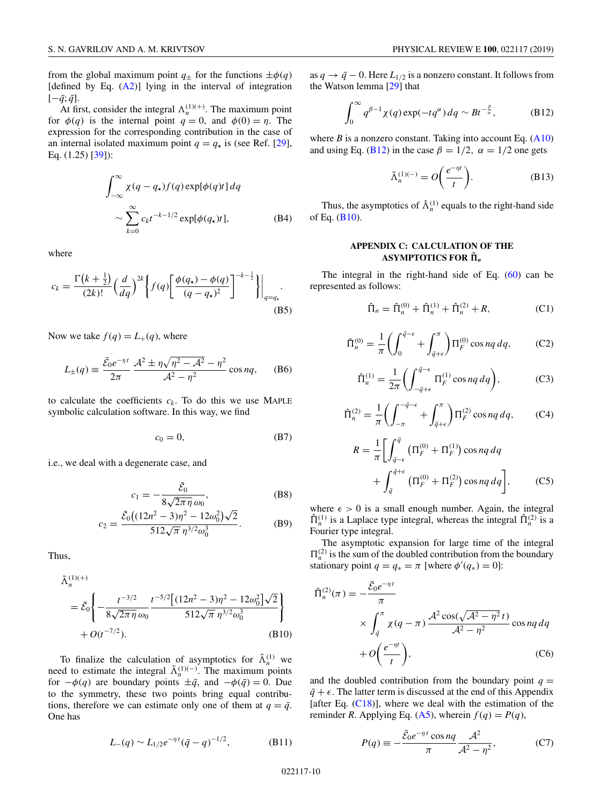<span id="page-9-0"></span>from the global maximum point  $q_{\pm}$  for the functions  $\pm \phi(q)$ [defined by Eq.  $(A2)$ ] lying in the interval of integration  $[-\bar{q}; \bar{q}]$ .

At first, consider the integral  $\Lambda_n^{(1)(+)}$ . The maximum point for  $\phi(q)$  is the internal point  $q = 0$ , and  $\phi(0) = \eta$ . The expression for the corresponding contribution in the case of an internal isolated maximum point  $q = q_{\star}$  is (see Ref. [\[29\]](#page-11-0), Eq. (1.25) [\[39\]](#page-12-0)):

$$
\int_{-\infty}^{\infty} \chi(q - q_{\star}) f(q) \exp[\phi(q)t] dq
$$
  
 
$$
\sim \sum_{k=0}^{\infty} c_k t^{-k-1/2} \exp[\phi(q_{\star})t],
$$
 (B4)

where

$$
c_k = \frac{\Gamma\left(k + \frac{1}{2}\right)}{(2k)!} \left(\frac{d}{dq}\right)^{2k} \left\{ f(q) \left[ \frac{\phi(q_\star) - \phi(q)}{(q - q_\star)^2} \right]^{-k - \frac{1}{2}} \right\} \Big|_{q = q_\star}.
$$
\n(B5)

Now we take  $f(q) = L_{+}(q)$ , where

$$
L_{\pm}(q) \equiv \frac{\bar{\mathcal{E}}_0 e^{-\eta t}}{2\pi} \frac{\mathcal{A}^2 \pm \eta \sqrt{\eta^2 - \mathcal{A}^2} - \eta^2}{\mathcal{A}^2 - \eta^2} \cos nq, \quad (B6)
$$

to calculate the coefficients  $c_k$ . To do this we use MAPLE symbolic calculation software. In this way, we find

$$
c_0 = 0,\t\t(B7)
$$

i.e., we deal with a degenerate case, and

$$
c_1 = -\frac{\bar{\mathcal{E}}_0}{8\sqrt{2\pi\eta}\,\omega_0},\tag{B8}
$$

$$
c_2 = \frac{\bar{\mathcal{E}}_0 \left( (12n^2 - 3)\eta^2 - 12\omega_0^2 \right) \sqrt{2}}{512\sqrt{\pi} \eta^{3/2} \omega_0^3}.
$$
 (B9)

Thus,

$$
\tilde{\Lambda}_n^{(1)(+)} = \bar{\mathcal{E}}_0 \left\{ -\frac{t^{-3/2}}{8\sqrt{2\pi\eta}\omega_0} \frac{t^{-5/2} \left[ (12n^2 - 3)\eta^2 - 12\omega_0^2 \right] \sqrt{2}}{512\sqrt{\pi} \eta^{3/2} \omega_0^3} \right\} + O(t^{-7/2}).
$$
\n(B10)

To finalize the calculation of asymptotics for  $\hat{\Lambda}_n^{(1)}$  we need to estimate the integral  $\tilde{\Lambda}_n^{(1)(-)}$ . The maximum points for  $-\phi(q)$  are boundary points  $\pm \bar{q}$ , and  $-\phi(\bar{q}) = 0$ . Due to the symmetry, these two points bring equal contributions, therefore we can estimate only one of them at  $q = \bar{q}$ . One has

$$
L_{-}(q) \sim L_{1/2} e^{-\eta t} (\bar{q} - q)^{-1/2}, \tag{B11}
$$

as  $q \rightarrow \bar{q} - 0$ . Here  $L_{1/2}$  is a nonzero constant. It follows from the Watson lemma [\[29\]](#page-11-0) that

$$
\int_0^\infty q^{\beta-1} \chi(q) \exp(-t q^\alpha) dq \sim B t^{-\frac{\beta}{\alpha}}, \tag{B12}
$$

where  $B$  is a nonzero constant. Taking into account Eq.  $(A10)$ and using Eq. (B12) in the case  $\beta = 1/2$ ,  $\alpha = 1/2$  one gets

$$
\tilde{\Lambda}_n^{(1)(-)} = O\bigg(\frac{e^{-\eta t}}{t}\bigg). \tag{B13}
$$

Thus, the asymptotics of  $\hat{\Lambda}_n^{(1)}$  equals to the right-hand side of Eq.  $(B10)$ .

### **APPENDIX C: CALCULATION OF THE ASYMPTOTICS FOR ˆ** *<sup>n</sup>*

The integral in the right-hand side of Eq.  $(60)$  can be represented as follows:

$$
\hat{\Pi}_n = \hat{\Pi}_n^{(0)} + \hat{\Pi}_n^{(1)} + \hat{\Pi}_n^{(2)} + R,\tag{C1}
$$

$$
\hat{\Pi}_n^{(0)} = \frac{1}{\pi} \left( \int_0^{\bar{q}-\epsilon} + \int_{\bar{q}+\epsilon}^{\pi} \right) \Pi_F^{(0)} \cos nq \, dq, \tag{C2}
$$

$$
\hat{\Pi}_n^{(1)} = \frac{1}{2\pi} \bigg( \int_{-\bar{q}+\epsilon}^{\bar{q}-\epsilon} \Pi_F^{(1)} \cos nq \, dq \bigg),\tag{C3}
$$

$$
\hat{\Pi}_n^{(2)} = \frac{1}{\pi} \left( \int_{-\pi}^{-\bar{q}-\epsilon} + \int_{\bar{q}+\epsilon}^{\pi} \right) \Pi_F^{(2)} \cos nq \, dq, \tag{C4}
$$

$$
R = \frac{1}{\pi} \Biggl[ \int_{\bar{q}-\epsilon}^{\bar{q}} \left( \Pi_F^{(0)} + \Pi_F^{(1)} \right) \cos nq \, dq + \int_{\bar{q}}^{\bar{q}+\epsilon} \left( \Pi_F^{(0)} + \Pi_F^{(2)} \right) \cos nq \, dq \Biggr], \tag{C5}
$$

where  $\epsilon > 0$  is a small enough number. Again, the integral  $\hat{\Pi}_n^{(1)}$  is a Laplace type integral, whereas the integral  $\hat{\Pi}_n^{(2)}$  is a Fourier type integral.

The asymptotic expansion for large time of the integral  $\Pi_n^{(2)}$  is the sum of the doubled contribution from the boundary stationary point  $q = q_* = \pi$  [where  $\phi'(q_*) = 0$ ]:

$$
\hat{\Pi}_n^{(2)}(\pi) = -\frac{\bar{\mathcal{E}}_0 e^{-\eta t}}{\pi} \times \int_{\bar{q}}^{\pi} \chi(q - \pi) \frac{\mathcal{A}^2 \cos(\sqrt{\mathcal{A}^2 - \eta^2} t)}{\mathcal{A}^2 - \eta^2} \cos nq \, dq
$$

$$
+ O\left(\frac{e^{-\eta t}}{t}\right), \tag{C6}
$$

and the doubled contribution from the boundary point  $q =$  $\bar{q} + \epsilon$ . The latter term is discussed at the end of this Appendix [after Eq.  $(C18)$ ], where we deal with the estimation of the reminder *R*. Applying Eq. [\(A5\)](#page-8-0), wherein  $f(q) = P(q)$ ,

$$
P(q) \equiv -\frac{\bar{\mathcal{E}}_0 e^{-\eta t} \cos nq}{\pi} \frac{\mathcal{A}^2}{\mathcal{A}^2 - \eta^2},\tag{C7}
$$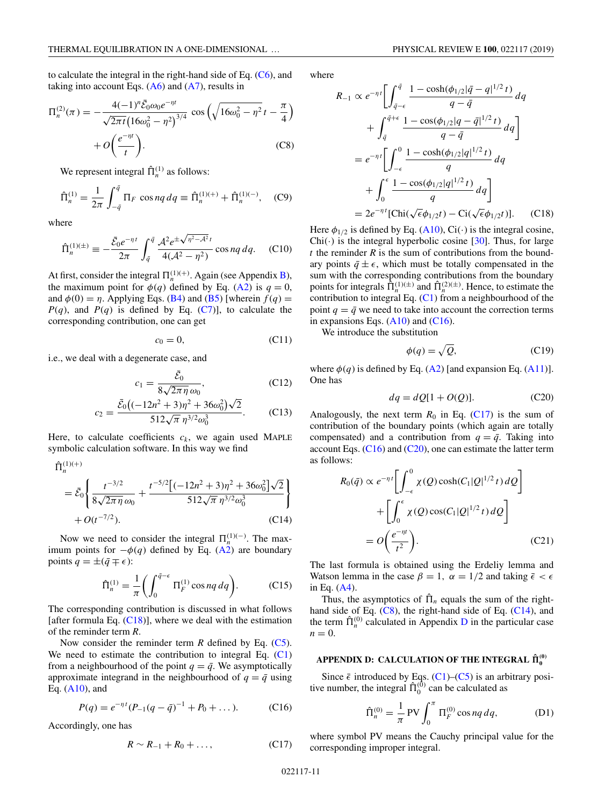<span id="page-10-0"></span>to calculate the integral in the right-hand side of Eq.  $(C6)$ , and taking into account Eqs.  $(A6)$  and  $(A7)$ , results in

$$
\Pi_n^{(2)}(\pi) = -\frac{4(-1)^n \bar{\mathcal{E}}_0 \omega_0 e^{-\eta t}}{\sqrt{2\pi t} \left(16\omega_0^2 - \eta^2\right)^{3/4}} \cos\left(\sqrt{16\omega_0^2 - \eta^2} t - \frac{\pi}{4}\right) + O\left(\frac{e^{-\eta t}}{t}\right).
$$
\n(C8)

We represent integral  $\hat{\Pi}_n^{(1)}$  as follows:

$$
\hat{\Pi}_n^{(1)} = \frac{1}{2\pi} \int_{-\bar{q}}^{\bar{q}} \Pi_F \, \cos nq \, dq \equiv \hat{\Pi}_n^{(1)(+)} + \hat{\Pi}_n^{(1)(-)}, \quad \text{(C9)}
$$

where

$$
\hat{\Pi}_n^{(1)(\pm)} \equiv -\frac{\bar{\mathcal{E}}_0 e^{-\eta t}}{2\pi} \int_{\bar{q}}^{\bar{q}} \frac{\mathcal{A}^2 e^{\pm \sqrt{\eta^2 - \mathcal{A}^2} t}}{4(\mathcal{A}^2 - \eta^2)} \cos nq \, dq. \tag{C10}
$$

At first, consider the integral  $\Pi_n^{(1)(+)}$ . Again (see Appendix [B\)](#page-8-0), the maximum point for  $\phi(q)$  defined by Eq. [\(A2\)](#page-8-0) is  $q = 0$ , and  $\phi(0) = \eta$ . Applying Eqs. [\(B4\)](#page-9-0) and [\(B5\)](#page-9-0) [wherein  $f(q) =$  $P(q)$ , and  $P(q)$  is defined by Eq. [\(C7\)](#page-9-0)], to calculate the corresponding contribution, one can get

$$
c_0 = 0,\t(C11)
$$

i.e., we deal with a degenerate case, and

$$
c_1 = \frac{\bar{\mathcal{E}}_0}{8\sqrt{2\pi\eta}\,\omega_0},\tag{C12}
$$

$$
c_2 = \frac{\bar{\mathcal{E}}_0\left((-12n^2+3)\eta^2+36\omega_0^2\right)\sqrt{2}}{512\sqrt{\pi}\eta^{3/2}\omega_0^3}.
$$
 (C13)

Here, to calculate coefficients  $c_k$ , we again used MAPLE symbolic calculation software. In this way we find

$$
\hat{\Pi}_{n}^{(1)(+)} = \bar{\mathcal{E}}_0 \left\{ \frac{t^{-3/2}}{8\sqrt{2\pi\eta}\omega_0} + \frac{t^{-5/2} \left[(-12n^2 + 3)\eta^2 + 36\omega_0^2\right]\sqrt{2}}{512\sqrt{\pi}\eta^{3/2}\omega_0^3} \right\} + O(t^{-7/2}).
$$
\n(C14)

Now we need to consider the integral  $\Pi_n^{(1)(-)}$ . The maximum points for  $-\phi(q)$  defined by Eq. [\(A2\)](#page-8-0) are boundary points  $q = \pm (\bar{q} \mp \epsilon)$ :

$$
\hat{\Pi}_n^{(1)} = \frac{1}{\pi} \bigg( \int_0^{\bar{q}-\epsilon} \Pi_F^{(1)} \cos nq \, dq \bigg). \tag{C15}
$$

The corresponding contribution is discussed in what follows [after formula Eq.  $(C18)$ ], where we deal with the estimation of the reminder term *R*.

Now consider the reminder term *R* defined by Eq. [\(C5\)](#page-9-0). We need to estimate the contribution to integral Eq. [\(C1\)](#page-9-0) from a neighbourhood of the point  $q = \bar{q}$ . We asymptotically approximate integrand in the neighbourhood of  $q = \bar{q}$  using Eq.  $(A10)$ , and

$$
P(q) = e^{-\eta t} (P_{-1}(q - \bar{q})^{-1} + P_0 + \dots).
$$
 (C16)

Accordingly, one has

$$
R \sim R_{-1} + R_0 + \dots, \tag{C17}
$$

where

$$
R_{-1} \propto e^{-\eta t} \left[ \int_{\bar{q}-\epsilon}^{\bar{q}} \frac{1 - \cosh(\phi_{1/2}|\bar{q} - q|^{1/2} t)}{q - \bar{q}} dq + \int_{\bar{q}}^{\bar{q}+\epsilon} \frac{1 - \cos(\phi_{1/2}|q - \bar{q}|^{1/2} t)}{q - \bar{q}} dq \right]
$$
  

$$
= e^{-\eta t} \left[ \int_{-\epsilon}^{0} \frac{1 - \cosh(\phi_{1/2}|q|^{1/2} t)}{q} dq + \int_{0}^{\epsilon} \frac{1 - \cos(\phi_{1/2}|q|^{1/2} t)}{q} dq \right]
$$
  

$$
= 2e^{-\eta t} [\text{Chi}(\sqrt{\epsilon}\phi_{1/2}t) - \text{Ci}(\sqrt{\epsilon}\phi_{1/2}t)]. \quad (C18)
$$

Here  $\phi_{1/2}$  is defined by Eq. [\(A10\)](#page-8-0), Ci(·) is the integral cosine,  $Chi(\cdot)$  is the integral hyperbolic cosine [\[30\]](#page-11-0). Thus, for large *t* the reminder *R* is the sum of contributions from the boundary points  $\bar{q} \pm \epsilon$ , which must be totally compensated in the sum with the corresponding contributions from the boundary points for integrals  $\tilde{\Pi}_n^{(1)(\pm)}$  and  $\hat{\Pi}_n^{(2)(\pm)}$ . Hence, to estimate the contribution to integral Eq.  $(C1)$  from a neighbourhood of the point  $q = \bar{q}$  we need to take into account the correction terms in expansions Eqs.  $(A10)$  and  $(C16)$ .

We introduce the substitution

$$
\phi(q) = \sqrt{Q},\tag{C19}
$$

where  $\phi(q)$  is defined by Eq. [\(A2\)](#page-8-0) [and expansion Eq. [\(A11\)](#page-8-0)]. One has

$$
dq = dQ[1 + O(Q)].
$$
 (C20)

Analogously, the next term  $R_0$  in Eq. (C17) is the sum of contribution of the boundary points (which again are totally compensated) and a contribution from  $q = \bar{q}$ . Taking into account Eqs.  $(C16)$  and  $(C20)$ , one can estimate the latter term as follows:

$$
R_0(\bar{q}) \propto e^{-\eta t} \left[ \int_{-\epsilon}^0 \chi(Q) \cosh(C_1|Q|^{1/2} t) dQ \right]
$$

$$
+ \left[ \int_0^{\epsilon} \chi(Q) \cos(C_1|Q|^{1/2} t) dQ \right]
$$

$$
= O\left(\frac{e^{-\eta t}}{t^2}\right).
$$
(C21)

The last formula is obtained using the Erdeliy lemma and Watson lemma in the case  $\beta = 1$ ,  $\alpha = 1/2$  and taking  $\bar{\epsilon} < \epsilon$ in Eq. [\(A4\)](#page-8-0).

Thus, the asymptotics of  $\hat{\Pi}_n$  equals the sum of the righthand side of Eq. (C8), the right-hand side of Eq. (C14), and the term  $\hat{\Pi}_n^{(0)}$  calculated in Appendix D in the particular case  $n = 0$ .

# <code>APPENDIX D: CALCULATION OF THE INTEGRAL  $\hat{\Pi}^{(0)}_0$ </code>

Since  $\bar{\epsilon}$  introduced by Eqs. [\(C1\)](#page-9-0)–[\(C5\)](#page-9-0) is an arbitrary positive number, the integral  $\hat{\Pi}_0^{(0)}$  can be calculated as

$$
\hat{\Pi}_n^{(0)} = \frac{1}{\pi} \text{PV} \int_0^{\pi} \Pi_F^{(0)} \cos nq \, dq,\tag{D1}
$$

where symbol PV means the Cauchy principal value for the corresponding improper integral.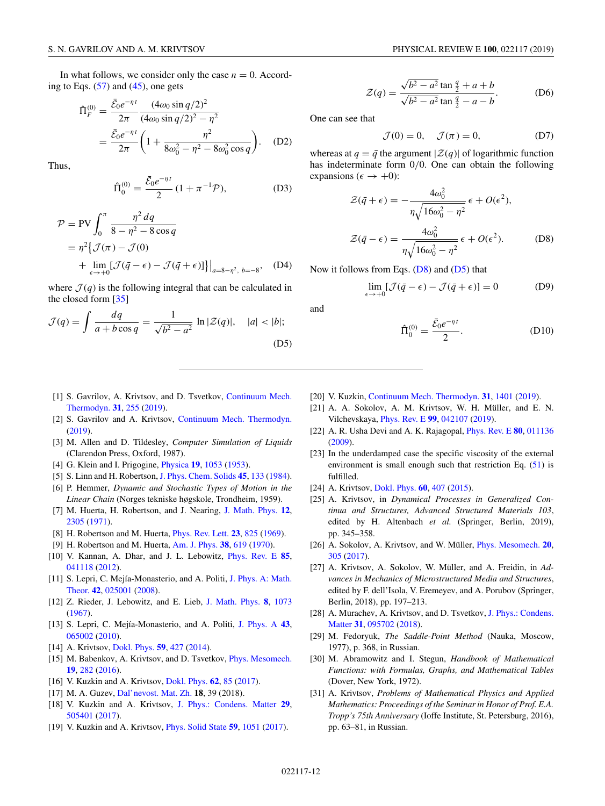<span id="page-11-0"></span>In what follows, we consider only the case  $n = 0$ . According to Eqs.  $(57)$  and  $(45)$ , one gets

$$
\hat{\Pi}_F^{(0)} = \frac{\bar{\mathcal{E}}_0 e^{-\eta t}}{2\pi} \frac{(4\omega_0 \sin q/2)^2}{(4\omega_0 \sin q/2)^2 - \eta^2} \n= \frac{\bar{\mathcal{E}}_0 e^{-\eta t}}{2\pi} \left(1 + \frac{\eta^2}{8\omega_0^2 - \eta^2 - 8\omega_0^2 \cos q}\right). \quad (D2)
$$

Thus,

$$
\hat{\Pi}_0^{(0)} = \frac{\bar{\mathcal{E}}_0 e^{-\eta t}}{2} (1 + \pi^{-1} \mathcal{P}),
$$
 (D3)

$$
\mathcal{P} = \text{PV} \int_0^{\pi} \frac{\eta^2 \, dq}{8 - \eta^2 - 8 \cos q}
$$
  
=  $\eta^2 \left\{ \mathcal{J}(\pi) - \mathcal{J}(0) + \lim_{\epsilon \to +0} [\mathcal{J}(\bar{q} - \epsilon) - \mathcal{J}(\bar{q} + \epsilon)] \right\} \Big|_{a=8-\eta^2, b=-8}, \quad \text{(D4)}$ 

where  $\mathcal{J}(q)$  is the following integral that can be calculated in the closed form [\[35\]](#page-12-0)

$$
\mathcal{J}(q) = \int \frac{dq}{a + b\cos q} = \frac{1}{\sqrt{b^2 - a^2}} \ln|\mathcal{Z}(q)|, \quad |a| < |b|;
$$
\n(D5)

- [1] [S. Gavrilov, A. Krivtsov, and D. Tsvetkov,](https://doi.org/10.1007/s00161-018-0681-3) Continuum Mech. Thermodyn. **[31](https://doi.org/10.1007/s00161-018-0681-3)**, [255](https://doi.org/10.1007/s00161-018-0681-3) [\(2019\)](https://doi.org/10.1007/s00161-018-0681-3).
- [2] S. Gavrilov and A. Krivtsov, [Continuum Mech. Thermodyn.](https://doi.org/10.1007/s00161-019-00782-2) [\(2019\)](https://doi.org/10.1007/s00161-019-00782-2).
- [3] M. Allen and D. Tildesley, *Computer Simulation of Liquids* (Clarendon Press, Oxford, 1987).
- [4] G. Klein and I. Prigogine, [Physica](https://doi.org/10.1016/S0031-8914(53)80120-5) **[19](https://doi.org/10.1016/S0031-8914(53)80120-5)**, [1053](https://doi.org/10.1016/S0031-8914(53)80120-5) [\(1953\)](https://doi.org/10.1016/S0031-8914(53)80120-5).
- [5] S. Linn and H. Robertson, [J. Phys. Chem. Solids](https://doi.org/10.1016/0022-3697(84)90111-2) **[45](https://doi.org/10.1016/0022-3697(84)90111-2)**, [133](https://doi.org/10.1016/0022-3697(84)90111-2) [\(1984\)](https://doi.org/10.1016/0022-3697(84)90111-2).
- [6] P. Hemmer, *Dynamic and Stochastic Types of Motion in the Linear Chain* (Norges tekniske høgskole, Trondheim, 1959).
- [7] M. Huerta, H. Robertson, and J. Nearing, [J. Math. Phys.](https://doi.org/10.1063/1.1665536) **[12](https://doi.org/10.1063/1.1665536)**, [2305](https://doi.org/10.1063/1.1665536) [\(1971\)](https://doi.org/10.1063/1.1665536).
- [8] H. Robertson and M. Huerta, [Phys. Rev. Lett.](https://doi.org/10.1103/PhysRevLett.23.825) **[23](https://doi.org/10.1103/PhysRevLett.23.825)**, [825](https://doi.org/10.1103/PhysRevLett.23.825) [\(1969\)](https://doi.org/10.1103/PhysRevLett.23.825).
- [9] H. Robertson and M. Huerta, [Am. J. Phys.](https://doi.org/10.1119/1.1976416) **[38](https://doi.org/10.1119/1.1976416)**, [619](https://doi.org/10.1119/1.1976416) [\(1970\)](https://doi.org/10.1119/1.1976416).
- [10] V. Kannan, A. Dhar, and J. L. Lebowitz, [Phys. Rev. E](https://doi.org/10.1103/PhysRevE.85.041118) **[85](https://doi.org/10.1103/PhysRevE.85.041118)**, [041118](https://doi.org/10.1103/PhysRevE.85.041118) [\(2012\)](https://doi.org/10.1103/PhysRevE.85.041118).
- [11] [S. Lepri, C. Mejía-Monasterio, and A. Politi,](https://doi.org/10.1088/1751-8113/42/2/025001) J. Phys. A: Math. Theor. **[42](https://doi.org/10.1088/1751-8113/42/2/025001)**, [025001](https://doi.org/10.1088/1751-8113/42/2/025001) [\(2008\)](https://doi.org/10.1088/1751-8113/42/2/025001).
- [12] Z. Rieder, J. Lebowitz, and E. Lieb, [J. Math. Phys.](https://doi.org/10.1063/1.1705319) **[8](https://doi.org/10.1063/1.1705319)**, [1073](https://doi.org/10.1063/1.1705319) [\(1967\)](https://doi.org/10.1063/1.1705319).
- [13] S. Lepri, C. Mejía-Monasterio, and A. Politi, [J. Phys. A](https://doi.org/10.1088/1751-8113/43/6/065002) **[43](https://doi.org/10.1088/1751-8113/43/6/065002)**, [065002](https://doi.org/10.1088/1751-8113/43/6/065002) [\(2010\)](https://doi.org/10.1088/1751-8113/43/6/065002).
- [14] A. Krivtsov, [Dokl. Phys.](https://doi.org/10.1134/S1028335814090080) **[59](https://doi.org/10.1134/S1028335814090080)**, [427](https://doi.org/10.1134/S1028335814090080) [\(2014\)](https://doi.org/10.1134/S1028335814090080).
- [15] M. Babenkov, A. Krivtsov, and D. Tsvetkov, [Phys. Mesomech.](https://doi.org/10.1134/S1029959916030061) **[19](https://doi.org/10.1134/S1029959916030061)**, [282](https://doi.org/10.1134/S1029959916030061) [\(2016\)](https://doi.org/10.1134/S1029959916030061).
- [16] V. Kuzkin and A. Krivtsov, [Dokl. Phys.](https://doi.org/10.1134/S1028335817020070) **[62](https://doi.org/10.1134/S1028335817020070)**, [85](https://doi.org/10.1134/S1028335817020070) [\(2017\)](https://doi.org/10.1134/S1028335817020070).
- [17] M. A. Guzev, [Dal'nevost. Mat. Zh.](http://www.mathnet.ru/php/archive.phtml?wshow=paper&jrnid=dvmg&paperid=364&option_lang=eng) **18**, 39 (2018).
- [18] V. Kuzkin and A. Krivtsov, [J. Phys.: Condens. Matter](https://doi.org/10.1088/1361-648X/aa98eb) **[29](https://doi.org/10.1088/1361-648X/aa98eb)**, [505401](https://doi.org/10.1088/1361-648X/aa98eb) [\(2017\)](https://doi.org/10.1088/1361-648X/aa98eb).
- [19] V. Kuzkin and A. Krivtsov, [Phys. Solid State](https://doi.org/10.1134/S1063783417050201) **[59](https://doi.org/10.1134/S1063783417050201)**, [1051](https://doi.org/10.1134/S1063783417050201) [\(2017\)](https://doi.org/10.1134/S1063783417050201).

$$
\mathcal{Z}(q) = \frac{\sqrt{b^2 - a^2} \tan \frac{q}{2} + a + b}{\sqrt{b^2 - a^2} \tan \frac{q}{2} - a - b}.
$$
 (D6)

One can see that

$$
\mathcal{J}(0) = 0, \quad \mathcal{J}(\pi) = 0, \tag{D7}
$$

whereas at  $q = \bar{q}$  the argument  $|\mathcal{Z}(q)|$  of logarithmic function has indeterminate form 0/0. One can obtain the following expansions ( $\epsilon \rightarrow +0$ ):

$$
\mathcal{Z}(\bar{q} + \epsilon) = -\frac{4\omega_0^2}{\eta \sqrt{16\omega_0^2 - \eta^2}} \epsilon + O(\epsilon^2),
$$

$$
\mathcal{Z}(\bar{q} - \epsilon) = \frac{4\omega_0^2}{\eta \sqrt{16\omega_0^2 - \eta^2}} \epsilon + O(\epsilon^2).
$$
 (D8)

Now it follows from Eqs.  $(D8)$  and  $(D5)$  that

$$
\lim_{\epsilon \to +0} [\mathcal{J}(\bar{q} - \epsilon) - \mathcal{J}(\bar{q} + \epsilon)] = 0
$$
 (D9)

and

$$
\hat{\Pi}_0^{(0)} = \frac{\bar{\mathcal{E}}_0 e^{-\eta t}}{2}.
$$
\n(D10)

- [20] V. Kuzkin, [Continuum Mech. Thermodyn.](https://doi.org/10.1007/s00161-019-00758-2) **[31](https://doi.org/10.1007/s00161-019-00758-2)**, [1401](https://doi.org/10.1007/s00161-019-00758-2) [\(2019\)](https://doi.org/10.1007/s00161-019-00758-2).
- [21] A. A. Sokolov, A. M. Krivtsov, W. H. Müller, and E. N. Vilchevskaya, [Phys. Rev. E](https://doi.org/10.1103/PhysRevE.99.042107) **[99](https://doi.org/10.1103/PhysRevE.99.042107)**, [042107](https://doi.org/10.1103/PhysRevE.99.042107) [\(2019\)](https://doi.org/10.1103/PhysRevE.99.042107).
- [22] A. R. Usha Devi and A. K. Rajagopal, [Phys. Rev. E](https://doi.org/10.1103/PhysRevE.80.011136) **[80](https://doi.org/10.1103/PhysRevE.80.011136)**, [011136](https://doi.org/10.1103/PhysRevE.80.011136) [\(2009\)](https://doi.org/10.1103/PhysRevE.80.011136).
- [23] In the underdamped case the specific viscosity of the external environment is small enough such that restriction Eq. [\(51\)](#page-3-0) is fulfilled.
- [24] A. Krivtsov, [Dokl. Phys.](https://doi.org/10.1134/S1028335815090062) **[60](https://doi.org/10.1134/S1028335815090062)**, [407](https://doi.org/10.1134/S1028335815090062) [\(2015\)](https://doi.org/10.1134/S1028335815090062).
- [25] A. Krivtsov, in *Dynamical Processes in Generalized Continua and Structures, Advanced Structured Materials 103*, edited by H. Altenbach *et al.* (Springer, Berlin, 2019), pp. 345–358.
- [26] A. Sokolov, A. Krivtsov, and W. Müller, [Phys. Mesomech.](https://doi.org/10.1134/S1029959917030067) **[20](https://doi.org/10.1134/S1029959917030067)**, [305](https://doi.org/10.1134/S1029959917030067) [\(2017\)](https://doi.org/10.1134/S1029959917030067).
- [27] A. Krivtsov, A. Sokolov, W. Müller, and A. Freidin, in *Advances in Mechanics of Microstructured Media and Structures*, edited by F. dell'Isola, V. Eremeyev, and A. Porubov (Springer, Berlin, 2018), pp. 197–213.
- [28] [A. Murachev, A. Krivtsov, and D. Tsvetkov,](https://doi.org/10.1088/1361-648X/aaf3c6) J. Phys.: Condens. Matter **[31](https://doi.org/10.1088/1361-648X/aaf3c6)**, [095702](https://doi.org/10.1088/1361-648X/aaf3c6) [\(2018\)](https://doi.org/10.1088/1361-648X/aaf3c6).
- [29] M. Fedoryuk, *The Saddle-Point Method* (Nauka, Moscow, 1977), p. 368, in Russian.
- [30] M. Abramowitz and I. Stegun, *Handbook of Mathematical Functions: with Formulas, Graphs, and Mathematical Tables* (Dover, New York, 1972).
- [31] A. Krivtsov, *Problems of Mathematical Physics and Applied Mathematics: Proceedings of the Seminar in Honor of Prof. E.A. Tropp's 75th Anniversary* (Ioffe Institute, St. Petersburg, 2016), pp. 63–81, in Russian.